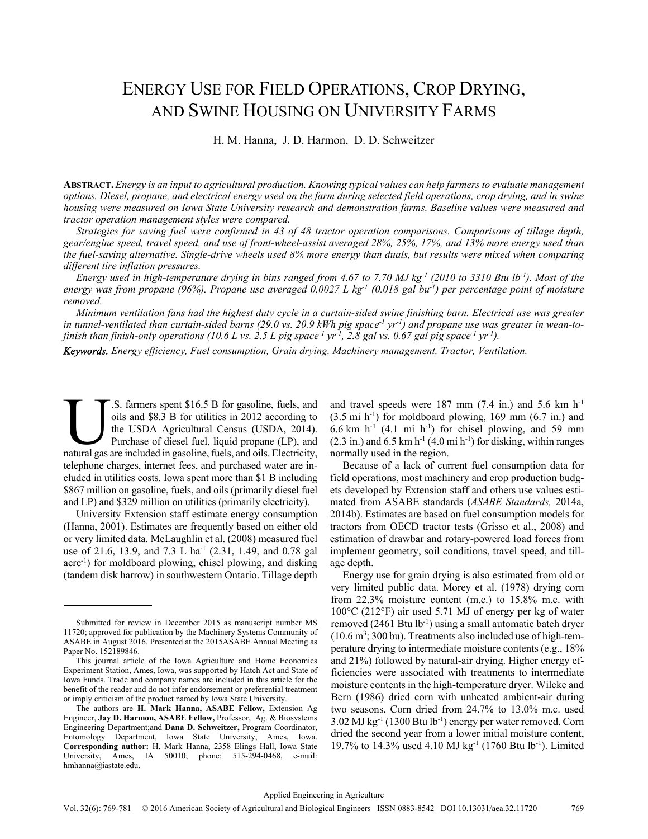# ENERGY USE FOR FIELD OPERATIONS, CROP DRYING, AND SWINE HOUSING ON UNIVERSITY FARMS

H. M. Hanna, J. D. Harmon, D. D. Schweitzer

**ABSTRACT.** *Energy is an input to agricultural production. Knowing typical values can help farmers to evaluate management options. Diesel, propane, and electrical energy used on the farm during selected field operations, crop drying, and in swine housing were measured on Iowa State University research and demonstration farms. Baseline values were measured and tractor operation management styles were compared.* 

*Strategies for saving fuel were confirmed in 43 of 48 tractor operation comparisons. Comparisons of tillage depth, gear/engine speed, travel speed, and use of front-wheel-assist averaged 28%, 25%, 17%, and 13% more energy used than the fuel-saving alternative. Single-drive wheels used 8% more energy than duals, but results were mixed when comparing different tire inflation pressures.* 

*Energy used in high-temperature drying in bins ranged from 4.67 to 7.70 MJ kg-1 (2010 to 3310 Btu lb-1). Most of the energy was from propane (96%). Propane use averaged 0.0027 L kg-1 (0.018 gal bu-1) per percentage point of moisture removed.* 

*Minimum ventilation fans had the highest duty cycle in a curtain-sided swine finishing barn. Electrical use was greater*  in tunnel-ventilated than curtain-sided barns (29.0 vs. 20.9 kWh pig space<sup>-1</sup> yr<sup>-1</sup>) and propane use was greater in wean-to*finish than finish-only operations (10.6 L vs. 2.5 L pig space<sup>-1</sup> yr<sup>-1</sup>, 2.8 gal vs. 0.67 gal pig space<sup>-1</sup> yr<sup>-1</sup>).* 

*Keywords. Energy efficiency, Fuel consumption, Grain drying, Machinery management, Tractor, Ventilation.* 

.S. farmers spent \$16.5 B for gasoline, fuels, and oils and \$8.3 B for utilities in 2012 according to the USDA Agricultural Census (USDA, 2014). Purchase of diesel fuel, liquid propane (LP), and S. farmers spent \$16.5 B for gasoline, fuels, and oils and \$8.3 B for utilities in 2012 according to the USDA Agricultural Census (USDA, 2014). Purchase of diesel fuel, liquid propane (LP), and natural gas are included in telephone charges, internet fees, and purchased water are included in utilities costs. Iowa spent more than \$1 B including \$867 million on gasoline, fuels, and oils (primarily diesel fuel and LP) and \$329 million on utilities (primarily electricity).

University Extension staff estimate energy consumption (Hanna, 2001). Estimates are frequently based on either old or very limited data. McLaughlin et al. (2008) measured fuel use of 21.6, 13.9, and 7.3 L ha<sup>-1</sup> (2.31, 1.49, and 0.78 gal acre-1) for moldboard plowing, chisel plowing, and disking (tandem disk harrow) in southwestern Ontario. Tillage depth and travel speeds were 187 mm  $(7.4 \text{ in.})$  and 5.6 km h<sup>-1</sup>  $(3.5 \text{ mi h}^{-1})$  for moldboard plowing, 169 mm  $(6.7 \text{ in.})$  and  $6.6$  km h<sup>-1</sup> (4.1 mi h<sup>-1</sup>) for chisel plowing, and 59 mm  $(2.3 \text{ in.})$  and  $6.5 \text{ km h}^{-1}$   $(4.0 \text{ mi h}^{-1})$  for disking, within ranges normally used in the region.

Because of a lack of current fuel consumption data for field operations, most machinery and crop production budgets developed by Extension staff and others use values estimated from ASABE standards (*ASABE Standards,* 2014a, 2014b). Estimates are based on fuel consumption models for tractors from OECD tractor tests (Grisso et al., 2008) and estimation of drawbar and rotary-powered load forces from implement geometry, soil conditions, travel speed, and tillage depth.

Energy use for grain drying is also estimated from old or very limited public data. Morey et al. (1978) drying corn from 22.3% moisture content (m.c.) to 15.8% m.c. with 100°C (212°F) air used 5.71 MJ of energy per kg of water removed (2461 Btu lb<sup>-1</sup>) using a small automatic batch dryer  $(10.6 \text{ m}^3; 300 \text{ bu})$ . Treatments also included use of high-temperature drying to intermediate moisture contents (e.g., 18% and 21%) followed by natural-air drying. Higher energy efficiencies were associated with treatments to intermediate moisture contents in the high-temperature dryer. Wilcke and Bern (1986) dried corn with unheated ambient-air during two seasons. Corn dried from 24.7% to 13.0% m.c. used 3.02 MJ kg-1 (1300 Btu lb-1) energy per water removed. Corn dried the second year from a lower initial moisture content, 19.7% to 14.3% used 4.10 MJ kg-1 (1760 Btu lb-1). Limited

Submitted for review in December 2015 as manuscript number MS 11720; approved for publication by the Machinery Systems Community of ASABE in August 2016. Presented at the 2015ASABE Annual Meeting as Paper No. 152189846.

This journal article of the Iowa Agriculture and Home Economics Experiment Station, Ames, Iowa, was supported by Hatch Act and State of Iowa Funds. Trade and company names are included in this article for the benefit of the reader and do not infer endorsement or preferential treatment or imply criticism of the product named by Iowa State University.

The authors are **H. Mark Hanna, ASABE Fellow,** Extension Ag Engineer, **Jay D. Harmon, ASABE Fellow,** Professor, Ag. & Biosystems Engineering Department;and **Dana D. Schweitzer,** Program Coordinator, Entomology Department, Iowa State University, Ames, Iowa. **Corresponding author:** H. Mark Hanna, 2358 Elings Hall, Iowa State University, Ames, IA 50010; phone: 515-294-0468, e-mail: hmhanna@iastate.edu.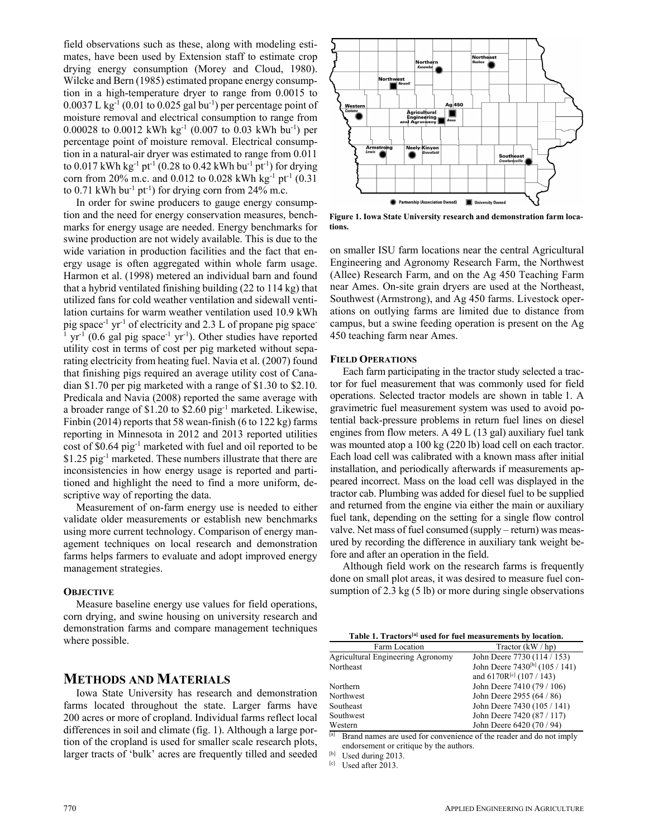field observations such as these, along with modeling estimates, have been used by Extension staff to estimate crop drying energy consumption (Morey and Cloud, 1980). Wilcke and Bern (1985) estimated propane energy consumption in a high-temperature dryer to range from 0.0015 to  $0.0037$  L kg<sup>-1</sup> (0.01 to 0.025 gal bu<sup>-1</sup>) per percentage point of moisture removal and electrical consumption to range from 0.00028 to 0.0012 kWh kg<sup>-1</sup> (0.007 to 0.03 kWh bu<sup>-1</sup>) per percentage point of moisture removal. Electrical consumption in a natural-air dryer was estimated to range from 0.011 to 0.017 kWh kg<sup>-1</sup> pt<sup>-1</sup> (0.28 to 0.42 kWh bu<sup>-1</sup> pt<sup>-1</sup>) for drying corn from 20% m.c. and 0.012 to 0.028 kWh kg<sup>-1</sup> pt<sup>-1</sup> (0.31) to 0.71 kWh bu<sup>-1</sup> pt<sup>-1</sup>) for drying corn from 24% m.c.

In order for swine producers to gauge energy consumption and the need for energy conservation measures, benchmarks for energy usage are needed. Energy benchmarks for swine production are not widely available. This is due to the wide variation in production facilities and the fact that energy usage is often aggregated within whole farm usage. Harmon et al. (1998) metered an individual barn and found that a hybrid ventilated finishing building (22 to 114 kg) that utilized fans for cold weather ventilation and sidewall ventilation curtains for warm weather ventilation used 10.9 kWh pig space<sup>-1</sup> yr<sup>-1</sup> of electricity and 2.3 L of propane pig space-1  $yr^{-1}$  (0.6 gal pig space<sup>-1</sup> yr<sup>-1</sup>). Other studies have reported utility cost in terms of cost per pig marketed without separating electricity from heating fuel. Navia et al. (2007) found that finishing pigs required an average utility cost of Canadian \$1.70 per pig marketed with a range of \$1.30 to \$2.10. Predicala and Navia (2008) reported the same average with a broader range of \$1.20 to \$2.60 pig-1 marketed. Likewise, Finbin (2014) reports that 58 wean-finish (6 to 122 kg) farms reporting in Minnesota in 2012 and 2013 reported utilities cost of \$0.64 pig-1 marketed with fuel and oil reported to be \$1.25 pig-1 marketed. These numbers illustrate that there are inconsistencies in how energy usage is reported and partitioned and highlight the need to find a more uniform, descriptive way of reporting the data.

Measurement of on-farm energy use is needed to either validate older measurements or establish new benchmarks using more current technology. Comparison of energy management techniques on local research and demonstration farms helps farmers to evaluate and adopt improved energy management strategies.

## **OBJECTIVE**

Measure baseline energy use values for field operations, corn drying, and swine housing on university research and demonstration farms and compare management techniques where possible.

# **METHODS AND MATERIALS**

Iowa State University has research and demonstration farms located throughout the state. Larger farms have 200 acres or more of cropland. Individual farms reflect local differences in soil and climate (fig. 1). Although a large portion of the cropland is used for smaller scale research plots, larger tracts of 'bulk' acres are frequently tilled and seeded



**Figure 1. Iowa State University research and demonstration farm locations.** 

on smaller ISU farm locations near the central Agricultural Engineering and Agronomy Research Farm, the Northwest (Allee) Research Farm, and on the Ag 450 Teaching Farm near Ames. On-site grain dryers are used at the Northeast, Southwest (Armstrong), and Ag 450 farms. Livestock operations on outlying farms are limited due to distance from campus, but a swine feeding operation is present on the Ag 450 teaching farm near Ames.

#### **FIELD OPERATIONS**

Each farm participating in the tractor study selected a tractor for fuel measurement that was commonly used for field operations. Selected tractor models are shown in table 1. A gravimetric fuel measurement system was used to avoid potential back-pressure problems in return fuel lines on diesel engines from flow meters. A 49 L (13 gal) auxiliary fuel tank was mounted atop a 100 kg (220 lb) load cell on each tractor. Each load cell was calibrated with a known mass after initial installation, and periodically afterwards if measurements appeared incorrect. Mass on the load cell was displayed in the tractor cab. Plumbing was added for diesel fuel to be supplied and returned from the engine via either the main or auxiliary fuel tank, depending on the setting for a single flow control valve. Net mass of fuel consumed (supply – return) was measured by recording the difference in auxiliary tank weight before and after an operation in the field.

Although field work on the research farms is frequently done on small plot areas, it was desired to measure fuel consumption of 2.3 kg (5 lb) or more during single observations

| Table 1. Tractors <sup>[a]</sup> used for fuel measurements by location. |
|--------------------------------------------------------------------------|
|--------------------------------------------------------------------------|

| Farm Location                     | Tractor $(kW/hp)$                          |
|-----------------------------------|--------------------------------------------|
| Agricultural Engineering Agronomy | John Deere 7730 (114 / 153)                |
| Northeast                         | John Deere 7430 <sup>[b]</sup> (105 / 141) |
|                                   | and $6170R^{[c]}$ (107 / 143)              |
| Northern                          | John Deere 7410 (79 / 106)                 |
| Northwest                         | John Deere 2955 (64 / 86)                  |
| Southeast                         | John Deere 7430 (105 / 141)                |
| Southwest                         | John Deere 7420 (87 / 117)                 |
| Western                           | John Deere 6420 (70 / 94)                  |
| full and the state<br>$\sim$      |                                            |

Brand names are used for convenience of the reader and do not imply endorsement or critique by the authors.<br><sup>[b]</sup> Used during 2013.<br><sup>[c]</sup> Used after 2013.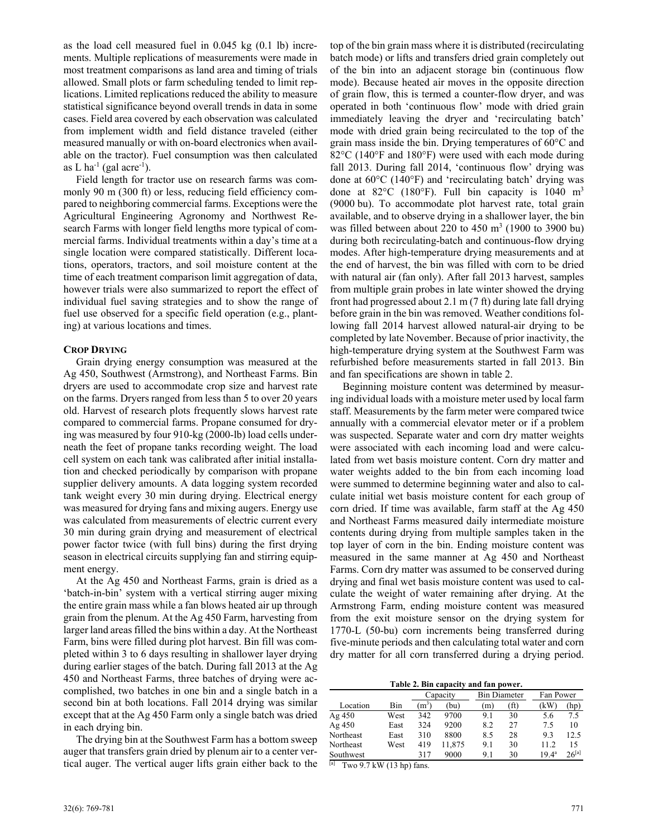as the load cell measured fuel in 0.045 kg (0.1 lb) increments. Multiple replications of measurements were made in most treatment comparisons as land area and timing of trials allowed. Small plots or farm scheduling tended to limit replications. Limited replications reduced the ability to measure statistical significance beyond overall trends in data in some cases. Field area covered by each observation was calculated from implement width and field distance traveled (either measured manually or with on-board electronics when available on the tractor). Fuel consumption was then calculated as L ha<sup>-1</sup> (gal acre<sup>-1</sup>).

Field length for tractor use on research farms was commonly 90 m (300 ft) or less, reducing field efficiency compared to neighboring commercial farms. Exceptions were the Agricultural Engineering Agronomy and Northwest Research Farms with longer field lengths more typical of commercial farms. Individual treatments within a day's time at a single location were compared statistically. Different locations, operators, tractors, and soil moisture content at the time of each treatment comparison limit aggregation of data, however trials were also summarized to report the effect of individual fuel saving strategies and to show the range of fuel use observed for a specific field operation (e.g., planting) at various locations and times.

## **CROP DRYING**

Grain drying energy consumption was measured at the Ag 450, Southwest (Armstrong), and Northeast Farms. Bin dryers are used to accommodate crop size and harvest rate on the farms. Dryers ranged from less than 5 to over 20 years old. Harvest of research plots frequently slows harvest rate compared to commercial farms. Propane consumed for drying was measured by four 910-kg (2000-lb) load cells underneath the feet of propane tanks recording weight. The load cell system on each tank was calibrated after initial installation and checked periodically by comparison with propane supplier delivery amounts. A data logging system recorded tank weight every 30 min during drying. Electrical energy was measured for drying fans and mixing augers. Energy use was calculated from measurements of electric current every 30 min during grain drying and measurement of electrical power factor twice (with full bins) during the first drying season in electrical circuits supplying fan and stirring equipment energy.

At the Ag 450 and Northeast Farms, grain is dried as a 'batch-in-bin' system with a vertical stirring auger mixing the entire grain mass while a fan blows heated air up through grain from the plenum. At the Ag 450 Farm, harvesting from larger land areas filled the bins within a day. At the Northeast Farm, bins were filled during plot harvest. Bin fill was completed within 3 to 6 days resulting in shallower layer drying during earlier stages of the batch. During fall 2013 at the Ag 450 and Northeast Farms, three batches of drying were accomplished, two batches in one bin and a single batch in a second bin at both locations. Fall 2014 drying was similar except that at the Ag 450 Farm only a single batch was dried in each drying bin.

The drying bin at the Southwest Farm has a bottom sweep auger that transfers grain dried by plenum air to a center vertical auger. The vertical auger lifts grain either back to the top of the bin grain mass where it is distributed (recirculating batch mode) or lifts and transfers dried grain completely out of the bin into an adjacent storage bin (continuous flow mode). Because heated air moves in the opposite direction of grain flow, this is termed a counter-flow dryer, and was operated in both 'continuous flow' mode with dried grain immediately leaving the dryer and 'recirculating batch' mode with dried grain being recirculated to the top of the grain mass inside the bin. Drying temperatures of 60°C and 82°C (140°F and 180°F) were used with each mode during fall 2013. During fall 2014, 'continuous flow' drying was done at 60°C (140°F) and 'recirculating batch' drying was done at 82 $^{\circ}$ C (180 $^{\circ}$ F). Full bin capacity is 1040 m<sup>3</sup> (9000 bu). To accommodate plot harvest rate, total grain available, and to observe drying in a shallower layer, the bin was filled between about 220 to  $450 \text{ m}^3$  (1900 to 3900 bu) during both recirculating-batch and continuous-flow drying modes. After high-temperature drying measurements and at the end of harvest, the bin was filled with corn to be dried with natural air (fan only). After fall 2013 harvest, samples from multiple grain probes in late winter showed the drying front had progressed about 2.1 m (7 ft) during late fall drying before grain in the bin was removed. Weather conditions following fall 2014 harvest allowed natural-air drying to be completed by late November. Because of prior inactivity, the high-temperature drying system at the Southwest Farm was refurbished before measurements started in fall 2013. Bin and fan specifications are shown in table 2.

Beginning moisture content was determined by measuring individual loads with a moisture meter used by local farm staff. Measurements by the farm meter were compared twice annually with a commercial elevator meter or if a problem was suspected. Separate water and corn dry matter weights were associated with each incoming load and were calculated from wet basis moisture content. Corn dry matter and water weights added to the bin from each incoming load were summed to determine beginning water and also to calculate initial wet basis moisture content for each group of corn dried. If time was available, farm staff at the Ag 450 and Northeast Farms measured daily intermediate moisture contents during drying from multiple samples taken in the top layer of corn in the bin. Ending moisture content was measured in the same manner at Ag 450 and Northeast Farms. Corn dry matter was assumed to be conserved during drying and final wet basis moisture content was used to calculate the weight of water remaining after drying. At the Armstrong Farm, ending moisture content was measured from the exit moisture sensor on the drying system for 1770-L (50-bu) corn increments being transferred during five-minute periods and then calculating total water and corn dry matter for all corn transferred during a drying period.

|  | Table 2. Bin capacity and fan power. |  |
|--|--------------------------------------|--|
|  |                                      |  |

|           |      |         | Capacity |     | <b>Bin Diameter</b> | Fan Power         |            |
|-----------|------|---------|----------|-----|---------------------|-------------------|------------|
| Location  | Bin  | $(m^3)$ | (bu)     | (m) | (ft)                | (kW               | (hp)       |
| Ag $450$  | West | 342     | 9700     | 9.1 | 30                  | 5.6               | 7.5        |
| Ag $450$  | East | 324     | 9200     | 8.2 | 27                  | 75                | 10         |
| Northeast | East | 310     | 8800     | 8.5 | 28                  | 9.3               | 12.5       |
| Northeast | West | 419     | 11,875   | 9.1 | 30                  | 11.2              | 15         |
| Southwest |      | 317     | 9000     | 9.1 | 30                  | 19.4 <sup>a</sup> | $26^{[a]}$ |

 $[a]$  Two 9.7 kW (13 hp) fans.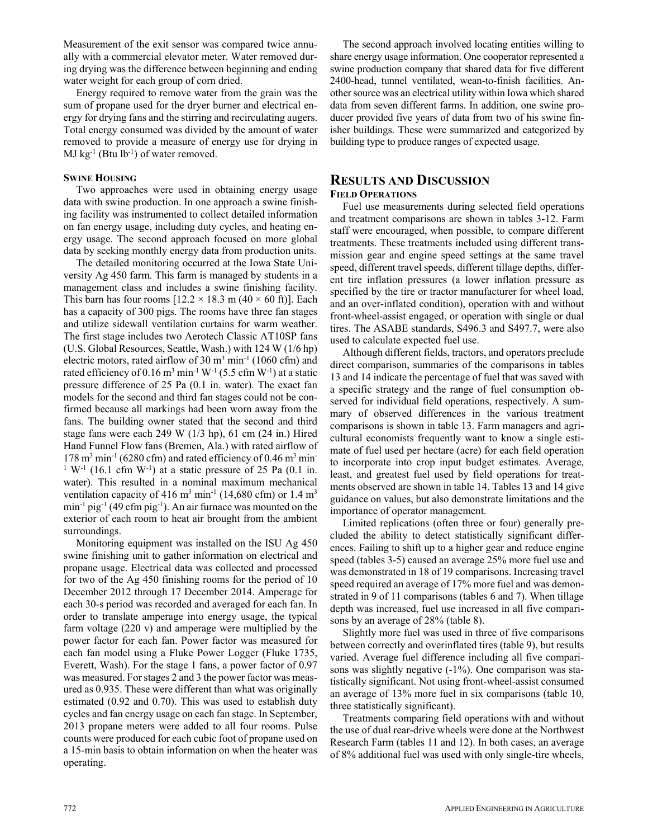Measurement of the exit sensor was compared twice annually with a commercial elevator meter. Water removed during drying was the difference between beginning and ending water weight for each group of corn dried.

Energy required to remove water from the grain was the sum of propane used for the dryer burner and electrical energy for drying fans and the stirring and recirculating augers. Total energy consumed was divided by the amount of water removed to provide a measure of energy use for drying in  $MJ$  kg<sup>-1</sup> (Btu lb<sup>-1</sup>) of water removed.

#### **SWINE HOUSING**

Two approaches were used in obtaining energy usage data with swine production. In one approach a swine finishing facility was instrumented to collect detailed information on fan energy usage, including duty cycles, and heating energy usage. The second approach focused on more global data by seeking monthly energy data from production units.

The detailed monitoring occurred at the Iowa State University Ag 450 farm. This farm is managed by students in a management class and includes a swine finishing facility. This barn has four rooms  $[12.2 \times 18.3 \text{ m } (40 \times 60 \text{ ft})]$ . Each has a capacity of 300 pigs. The rooms have three fan stages and utilize sidewall ventilation curtains for warm weather. The first stage includes two Aerotech Classic AT10SP fans (U.S. Global Resources, Seattle, Wash.) with 124 W (1/6 hp) electric motors, rated airflow of  $30 \text{ m}^3 \text{ min}^{-1}$  (1060 cfm) and rated efficiency of  $0.16 \text{ m}^3 \text{ min}^{-1} \text{ W}^{-1}$  (5.5 cfm W<sup>-1</sup>) at a static pressure difference of 25 Pa (0.1 in. water). The exact fan models for the second and third fan stages could not be confirmed because all markings had been worn away from the fans. The building owner stated that the second and third stage fans were each 249 W (1/3 hp), 61 cm (24 in.) Hired Hand Funnel Flow fans (Bremen, Ala.) with rated airflow of  $178 \text{ m}^3 \text{ min}^{-1}$  (6280 cfm) and rated efficiency of 0.46 m<sup>3</sup> min<sup>-1</sup> <sup>1</sup> W<sup>-1</sup> (16.1 cfm W<sup>-1</sup>) at a static pressure of 25 Pa (0.1 in. water). This resulted in a nominal maximum mechanical ventilation capacity of 416 m<sup>3</sup> min<sup>-1</sup> (14,680 cfm) or 1.4 m<sup>3</sup>  $min^{-1}$  pig<sup>-1</sup> (49 cfm pig<sup>-1</sup>). An air furnace was mounted on the exterior of each room to heat air brought from the ambient surroundings.

Monitoring equipment was installed on the ISU Ag 450 swine finishing unit to gather information on electrical and propane usage. Electrical data was collected and processed for two of the Ag 450 finishing rooms for the period of 10 December 2012 through 17 December 2014. Amperage for each 30-s period was recorded and averaged for each fan. In order to translate amperage into energy usage, the typical farm voltage (220 v) and amperage were multiplied by the power factor for each fan. Power factor was measured for each fan model using a Fluke Power Logger (Fluke 1735, Everett, Wash). For the stage 1 fans, a power factor of 0.97 was measured. For stages 2 and 3 the power factor was measured as 0.935. These were different than what was originally estimated (0.92 and 0.70). This was used to establish duty cycles and fan energy usage on each fan stage. In September, 2013 propane meters were added to all four rooms. Pulse counts were produced for each cubic foot of propane used on a 15-min basis to obtain information on when the heater was operating.

The second approach involved locating entities willing to share energy usage information. One cooperator represented a swine production company that shared data for five different 2400-head, tunnel ventilated, wean-to-finish facilities. Another source was an electrical utility within Iowa which shared data from seven different farms. In addition, one swine producer provided five years of data from two of his swine finisher buildings. These were summarized and categorized by building type to produce ranges of expected usage.

## **RESULTS AND DISCUSSION FIELD OPERATIONS**

Fuel use measurements during selected field operations and treatment comparisons are shown in tables 3-12. Farm staff were encouraged, when possible, to compare different treatments. These treatments included using different transmission gear and engine speed settings at the same travel speed, different travel speeds, different tillage depths, different tire inflation pressures (a lower inflation pressure as specified by the tire or tractor manufacturer for wheel load, and an over-inflated condition), operation with and without front-wheel-assist engaged, or operation with single or dual tires. The ASABE standards, S496.3 and S497.7, were also used to calculate expected fuel use.

Although different fields, tractors, and operators preclude direct comparison, summaries of the comparisons in tables 13 and 14 indicate the percentage of fuel that was saved with a specific strategy and the range of fuel consumption observed for individual field operations, respectively. A summary of observed differences in the various treatment comparisons is shown in table 13. Farm managers and agricultural economists frequently want to know a single estimate of fuel used per hectare (acre) for each field operation to incorporate into crop input budget estimates. Average, least, and greatest fuel used by field operations for treatments observed are shown in table 14. Tables 13 and 14 give guidance on values, but also demonstrate limitations and the importance of operator management.

Limited replications (often three or four) generally precluded the ability to detect statistically significant differences. Failing to shift up to a higher gear and reduce engine speed (tables 3-5) caused an average 25% more fuel use and was demonstrated in 18 of 19 comparisons. Increasing travel speed required an average of 17% more fuel and was demonstrated in 9 of 11 comparisons (tables 6 and 7). When tillage depth was increased, fuel use increased in all five comparisons by an average of 28% (table 8).

Slightly more fuel was used in three of five comparisons between correctly and overinflated tires (table 9), but results varied. Average fuel difference including all five comparisons was slightly negative  $(-1\%)$ . One comparison was statistically significant. Not using front-wheel-assist consumed an average of 13% more fuel in six comparisons (table 10, three statistically significant).

Treatments comparing field operations with and without the use of dual rear-drive wheels were done at the Northwest Research Farm (tables 11 and 12). In both cases, an average of 8% additional fuel was used with only single-tire wheels,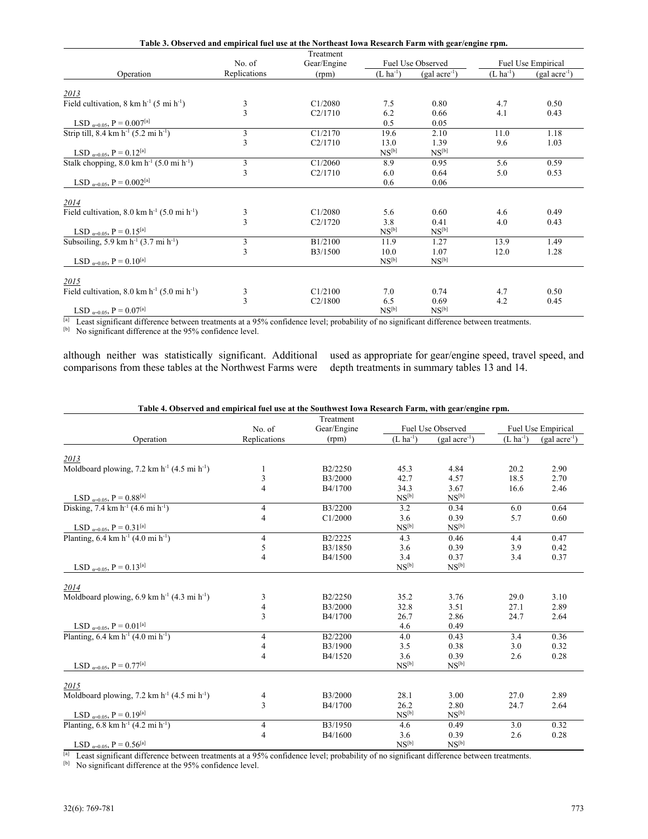| Table 3. Observed and empirical fuel use at the Northeast Iowa Research Farm with gear/engine rpm. |                                            |           |                           |                   |                       |                   |  |  |
|----------------------------------------------------------------------------------------------------|--------------------------------------------|-----------|---------------------------|-------------------|-----------------------|-------------------|--|--|
|                                                                                                    |                                            | Treatment |                           |                   |                       |                   |  |  |
|                                                                                                    | Fuel Use Observed<br>No. of<br>Gear/Engine |           | <b>Fuel Use Empirical</b> |                   |                       |                   |  |  |
| Operation                                                                                          | Replications                               | (rpm)     | $(L \text{ ha}^{-1})$     | $(gal acre^{-1})$ | $(L \text{ ha}^{-1})$ | $(gal acre^{-1})$ |  |  |
| 2013                                                                                               |                                            |           |                           |                   |                       |                   |  |  |
| Field cultivation, $8 \text{ km h}^{-1}$ (5 mi h <sup>-1</sup> )                                   |                                            | C1/2080   | 7.5                       | 0.80              | 4.7                   | 0.50              |  |  |
|                                                                                                    | $\frac{3}{3}$                              | C2/1710   | 6.2                       | 0.66              | 4.1                   | 0.43              |  |  |
| LSD $_{\alpha=0.05}$ , P = 0.007 <sup>[a]</sup>                                                    |                                            |           | 0.5                       | 0.05              |                       |                   |  |  |
| Strip till, 8.4 km $h^{-1}$ (5.2 mi $h^{-1}$ )                                                     |                                            | C1/2170   | 19.6                      | 2.10              | 11.0                  | 1.18              |  |  |
|                                                                                                    | $\frac{3}{3}$                              | C2/1710   | 13.0                      | 1.39              | 9.6                   | 1.03              |  |  |
| LSD $_{\alpha=0.05}$ , P = 0.12 <sup>[a]</sup>                                                     |                                            |           | $NS^{[b]}$                | $NS^{[b]}$        |                       |                   |  |  |
| Stalk chopping, $8.0 \text{ km h}^{-1}$ (5.0 mi h <sup>-1</sup> )                                  | 3                                          | C1/2060   | 8.9                       | 0.95              | 5.6                   | 0.59              |  |  |
|                                                                                                    | 3                                          | C2/1710   | 6.0                       | 0.64              | 5.0                   | 0.53              |  |  |
| LSD $_{\alpha=0.05}$ , P = 0.002 <sup>[a]</sup>                                                    |                                            |           | 0.6                       | 0.06              |                       |                   |  |  |
| 2014                                                                                               |                                            |           |                           |                   |                       |                   |  |  |
| Field cultivation, 8.0 km $h^{-1}$ (5.0 mi $h^{-1}$ )                                              |                                            | C1/2080   | 5.6                       | 0.60              | 4.6                   | 0.49              |  |  |
|                                                                                                    | $\frac{3}{3}$                              | C2/1720   | 3.8                       | 0.41              | 4.0                   | 0.43              |  |  |
| LSD $_{\alpha=0.05}$ , P = 0.15 <sup>[a]</sup>                                                     |                                            |           | $NS^{[b]}$                | $NS^{[b]}$        |                       |                   |  |  |
| Subsoiling, 5.9 km $h^{-1}$ (3.7 mi $h^{-1}$ )                                                     | 3                                          | B1/2100   | 11.9                      | 1.27              | 13.9                  | 1.49              |  |  |
|                                                                                                    | $\overline{3}$                             | B3/1500   | 10.0                      | 1.07              | 12.0                  | 1.28              |  |  |
| LSD $_{\alpha=0.05}$ , P = 0.10 <sup>[a]</sup>                                                     |                                            |           | $NS^{[b]}$                | $NS^{[b]}$        |                       |                   |  |  |
| 2015                                                                                               |                                            |           |                           |                   |                       |                   |  |  |
| Field cultivation, 8.0 km $h^{-1}$ (5.0 mi $h^{-1}$ )                                              |                                            | C1/2100   | 7.0                       | 0.74              | 4.7                   | 0.50              |  |  |
|                                                                                                    | $\frac{3}{3}$                              | C2/1800   | 6.5                       | 0.69              | 4.2                   | 0.45              |  |  |
| LSD $_{\alpha=0.05}$ , P = 0.07 <sup>[a]</sup>                                                     |                                            |           | $NS^{[b]}$                | NS <sup>[b]</sup> |                       |                   |  |  |

[a] Least significant difference between treatments at a 95% confidence level; probability of no significant difference between treatments.

[b] No significant difference at the 95% confidence level.

although neither was statistically significant. Additional comparisons from these tables at the Northwest Farms were

used as appropriate for gear/engine speed, travel speed, and depth treatments in summary tables 13 and 14.

| Table 4. Observed and empirical fuel use at the Southwest Iowa Research Farm, with gear/engine rpm. |
|-----------------------------------------------------------------------------------------------------|
|-----------------------------------------------------------------------------------------------------|

|                                                                                                              |                | Treatment   |                       |                              |               |                          |
|--------------------------------------------------------------------------------------------------------------|----------------|-------------|-----------------------|------------------------------|---------------|--------------------------|
|                                                                                                              | No. of         | Gear/Engine |                       | Fuel Use Observed            |               | Fuel Use Empirical       |
| Operation                                                                                                    | Replications   | (rpm)       | $(L \text{ ha}^{-1})$ | $(gal acre^{-1})$            | $(L ha^{-1})$ | (gal acre <sup>-1)</sup> |
|                                                                                                              |                |             |                       |                              |               |                          |
| 2013                                                                                                         |                |             |                       |                              |               |                          |
| Moldboard plowing, 7.2 km $h^{-1}$ (4.5 mi $h^{-1}$ )                                                        | 1              | B2/2250     | 45.3                  | 4.84                         | 20.2          | 2.90                     |
|                                                                                                              | 3              | B3/2000     | 42.7                  | 4.57                         | 18.5          | 2.70                     |
|                                                                                                              | 4              | B4/1700     | 34.3                  | 3.67                         | 16.6          | 2.46                     |
| LSD $_{\alpha=0.05}$ , P = 0.88 <sup>[a]</sup>                                                               |                |             | $NS^{[b]}$            | $NS^{[b]}$                   |               |                          |
| Disking, 7.4 km h <sup>-1</sup> (4.6 mi h <sup>-1</sup> )                                                    | 4              | B3/2200     | 3.2                   | 0.34                         | 6.0           | 0.64                     |
|                                                                                                              | $\overline{4}$ | C1/2000     | 3.6                   | 0.39                         | 5.7           | 0.60                     |
| LSD $_{\alpha=0.05}$ , P = 0.31 <sup>[a]</sup><br>Planting, 6.4 km h <sup>-1</sup> (4.0 mi h <sup>-1</sup> ) |                |             | $NS^{[b]}$            | $NS^{[b]}$                   |               |                          |
|                                                                                                              | 4              | B2/2225     | 4.3                   | 0.46                         | 4.4           | 0.47                     |
|                                                                                                              | $\sqrt{5}$     | B3/1850     | 3.6                   | 0.39                         | 3.9           | 0.42                     |
|                                                                                                              | $\overline{4}$ | B4/1500     | 3.4                   | 0.37                         | 3.4           | 0.37                     |
| LSD $_{\alpha=0.05}$ , P = 0.13 <sup>[a]</sup>                                                               |                |             | $NS^{[b]}$            | $NS^{[b]}$                   |               |                          |
|                                                                                                              |                |             |                       |                              |               |                          |
| 2014                                                                                                         |                |             |                       |                              |               |                          |
| Moldboard plowing, 6.9 km $h^{-1}$ (4.3 mi $h^{-1}$ )                                                        | 3              | B2/2250     | 35.2                  | 3.76                         | 29.0          | 3.10                     |
|                                                                                                              | 4              | B3/2000     | 32.8                  | 3.51                         | 27.1          | 2.89                     |
|                                                                                                              | 3              | B4/1700     | 26.7                  | 2.86                         | 24.7          | 2.64                     |
| LSD $_{\alpha=0.05}$ , P = 0.01 <sup>[a]</sup>                                                               |                |             | 4.6                   | 0.49                         |               |                          |
| Planting, $6.4 \text{ km h}^{-1}$ (4.0 mi h <sup>-1</sup> )                                                  | $\overline{4}$ | B2/2200     | 4.0                   | 0.43                         | 3.4           | 0.36                     |
|                                                                                                              | 4              | B3/1900     | 3.5                   | 0.38                         | 3.0           | 0.32                     |
|                                                                                                              | 4              | B4/1520     | 3.6                   | 0.39                         | 2.6           | 0.28                     |
| LSD $_{\alpha=0.05}$ , P = 0.77 <sup>[a]</sup>                                                               |                |             | ${\rm NS}^{\rm [b]}$  | $NS^{[b]}$                   |               |                          |
|                                                                                                              |                |             |                       |                              |               |                          |
| 2015                                                                                                         |                |             |                       |                              |               |                          |
| Moldboard plowing, 7.2 km h <sup>-1</sup> (4.5 mi h <sup>-1</sup> )                                          | $\overline{4}$ | B3/2000     | 28.1                  | 3.00                         | 27.0          | 2.89                     |
|                                                                                                              | 3              | B4/1700     | 26.2                  | 2.80                         | 24.7          | 2.64                     |
| LSD $_{q=0.05}$ , P = 0.19 <sup>[a]</sup>                                                                    |                |             | $NS^{[b]}$            | $\mathrm{NS}^{[\mathrm{b}]}$ |               |                          |
| Planting, $6.8 \text{ km h}^{-1}$ (4.2 mi h <sup>-1</sup> )                                                  | 4              | B3/1950     | 4.6                   | 0.49                         | 3.0           | 0.32                     |
|                                                                                                              | $\overline{4}$ | B4/1600     | 3.6                   | 0.39                         | 2.6           | 0.28                     |
| LSD $_{q=0.05}$ , P = 0.56 <sup>[a]</sup>                                                                    |                |             | $NS^{[b]}$            | $NS^{[b]}$                   |               |                          |

 $^{[a]}$  Least significant difference between treatments at a 95% confidence level; probability of no significant difference between treatments.<br><sup>[b]</sup> No significant difference at the 95% confidence level.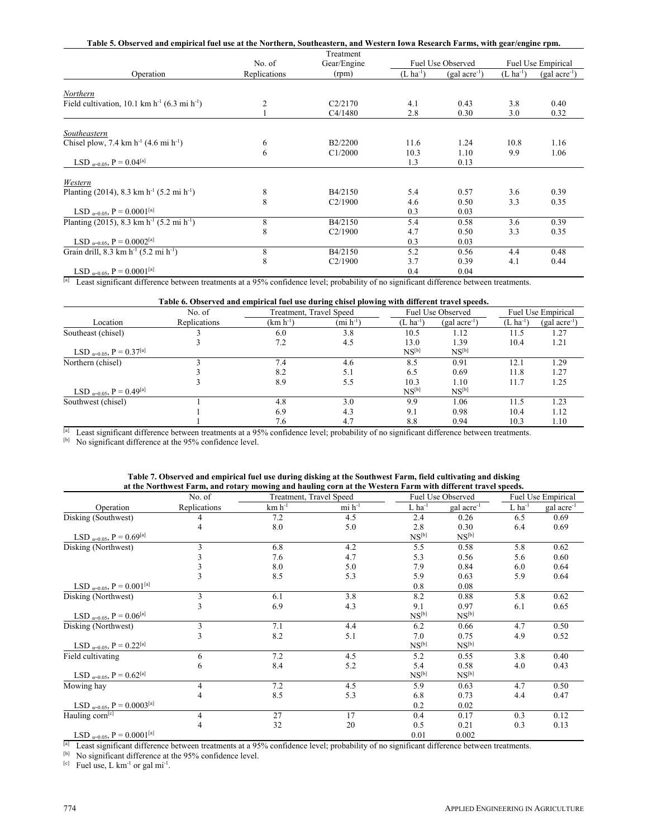| Table 5. Observed and empirical fuel use at the Northern, Southeastern, and Western Iowa Research Farms, with gear/engine rpm. |              | Treatment   |                       |                   |               |                      |
|--------------------------------------------------------------------------------------------------------------------------------|--------------|-------------|-----------------------|-------------------|---------------|----------------------|
|                                                                                                                                | No. of       | Gear/Engine |                       | Fuel Use Observed |               | Fuel Use Empirical   |
| Operation                                                                                                                      | Replications | (rpm)       | $(L \text{ ha}^{-1})$ | $(gal acre^{-1})$ | $(L ha^{-1})$ | $(gal \, acre^{-1})$ |
| Northern                                                                                                                       |              |             |                       |                   |               |                      |
| Field cultivation, 10.1 km $h^{-1}$ (6.3 mi $h^{-1}$ )                                                                         | 2            | C2/2170     | 4.1                   | 0.43              | 3.8           | 0.40                 |
|                                                                                                                                |              | C4/1480     | 2.8                   | 0.30              | 3.0           | 0.32                 |
| Southeastern                                                                                                                   |              |             |                       |                   |               |                      |
| Chisel plow, 7.4 km $h^{-1}$ (4.6 mi $h^{-1}$ )                                                                                | 6            | B2/2200     | 11.6                  | 1.24              | 10.8          | 1.16                 |
|                                                                                                                                | 6            | C1/2000     | 10.3                  | 1.10              | 9.9           | 1.06                 |
| LSD $_{\alpha=0.05}$ , P = 0.04 <sup>[a]</sup>                                                                                 |              |             | 1.3                   | 0.13              |               |                      |
| Western                                                                                                                        |              |             |                       |                   |               |                      |
| Planting (2014), 8.3 km h <sup>-1</sup> (5.2 mi h <sup>-1</sup> )                                                              | 8            | B4/2150     | 5.4                   | 0.57              | 3.6           | 0.39                 |
|                                                                                                                                | 8            | C2/1900     | 4.6                   | 0.50              | 3.3           | 0.35                 |
| LSD $_{q=0.05}$ , P = 0.0001 <sup>[a]</sup>                                                                                    |              |             | 0.3                   | 0.03              |               |                      |
| Planting (2015), 8.3 km h <sup>-1</sup> (5.2 mi h <sup>-1</sup> )                                                              | 8            | B4/2150     | 5.4                   | 0.58              | 3.6           | 0.39                 |
|                                                                                                                                | 8            | C2/1900     | 4.7                   | 0.50              | 3.3           | 0.35                 |
| LSD $_{\alpha=0.05}$ , P = 0.0002 <sup>[a]</sup>                                                                               |              |             | 0.3                   | 0.03              |               |                      |
| Grain drill, 8.3 km $h^{-1}$ (5.2 mi $h^{-1}$ )                                                                                | 8            | B4/2150     | 5.2                   | 0.56              | 4.4           | 0.48                 |
|                                                                                                                                | 8            | C2/1900     | 3.7                   | 0.39              | 4.1           | 0.44                 |
| LSD $_{\alpha=0.05}$ , P = 0.0001 <sup>[a]</sup>                                                                               |              |             | 0.4                   | 0.04              |               |                      |

<sup>[a]</sup> Least significant difference between treatments at a 95% confidence level; probability of no significant difference between treatments.

#### **Table 6. Observed and empirical fuel use during chisel plowing with different travel speeds.**

|                                                |              |                         |                       | .                     |                   |                       |                    |
|------------------------------------------------|--------------|-------------------------|-----------------------|-----------------------|-------------------|-----------------------|--------------------|
|                                                | No. of       | Treatment, Travel Speed |                       |                       | Fuel Use Observed |                       | Fuel Use Empirical |
| Location                                       | Replications | $(km h^{-1})$           | $(\text{mi } h^{-1})$ | $(L \text{ ha}^{-1})$ | $(gal acre^{-1})$ | $(L \text{ ha}^{-1})$ | $(gal acre^{-1})$  |
| Southeast (chisel)                             |              | 6.0                     | 3.8                   | 10.5                  | 1.12              | 11.5                  | 1.27               |
|                                                |              | 7.2                     | 4.5                   | 13.0                  | 1.39              | 10.4                  | 1.21               |
| LSD $_{\alpha=0.05}$ , P = 0.37 <sup>[a]</sup> |              |                         |                       | $NS^{[b]}$            | $NS^{[b]}$        |                       |                    |
| Northern (chisel)                              |              | 7.4                     | 4.6                   | 8.5                   | 0.91              | 12.1                  | 1.29               |
|                                                |              | 8.2                     | 5.1                   | 6.5                   | 0.69              | 11.8                  | 1.27               |
|                                                |              | 8.9                     | 5.5                   | 10.3                  | 1.10              | 11.7                  | 1.25               |
| LSD $_{\alpha=0.05}$ , P = 0.49 <sup>[a]</sup> |              |                         |                       | $NS^{[b]}$            | $NS^{[b]}$        |                       |                    |
| Southwest (chisel)                             |              | 4.8                     | 3.0                   | 9.9                   | 1.06              | 11.5                  | 1.23               |
|                                                |              | 6.9                     | 4.3                   | 9.1                   | 0.98              | 10.4                  | 1.12               |
|                                                |              | 7.6                     | 4.7                   | 8.8                   | 0.94              | 10.3                  | 1.10               |

[a] Least significant difference between treatments at a 95% confidence level; probability of no significant difference between treatments.<br>[b] No significant difference at the 95% confidence level.

| Table 7. Observed and empirical fuel use during disking at the Southwest Farm, field cultivating and disking |  |
|--------------------------------------------------------------------------------------------------------------|--|
| at the Northwest Farm, and rotary mowing and hauling corn at the Western Farm with different travel speeds.  |  |

|                                                                          | No. of       | Treatment, Travel Speed |                              |                      | <b>Fuel Use Observed</b> |                      | <b>Fuel Use Empirical</b> |
|--------------------------------------------------------------------------|--------------|-------------------------|------------------------------|----------------------|--------------------------|----------------------|---------------------------|
| Operation                                                                | Replications | $km h^{-1}$             | $\text{mi} \; \text{h}^{-1}$ | $L$ ha <sup>-1</sup> | gal acre <sup>-1</sup>   | $L$ ha <sup>-1</sup> | gal acre <sup>-1</sup>    |
| Disking (Southwest)                                                      |              | 7.2                     | 4.5                          | 2.4                  | 0.26                     | 6.5                  | 0.69                      |
|                                                                          | 4            | 8.0                     | 5.0                          | 2.8                  | 0.30                     | 6.4                  | 0.69                      |
| LSD $_{\alpha=0.05}$ , P = 0.69 <sup>[a]</sup>                           |              |                         |                              | $NS^{[b]}$           | $NS^{[b]}$               |                      |                           |
| Disking (Northwest)                                                      |              | 6.8                     | 4.2                          | 5.5                  | 0.58                     | 5.8                  | 0.62                      |
|                                                                          |              | 7.6                     | 4.7                          | 5.3                  | 0.56                     | 5.6                  | 0.60                      |
|                                                                          |              | 8.0                     | 5.0                          | 7.9                  | 0.84                     | 6.0                  | 0.64                      |
|                                                                          |              | 8.5                     | 5.3                          | 5.9                  | 0.63                     | 5.9                  | 0.64                      |
| LSD $_{\alpha=0.05}$ , P = 0.001 <sup>[a]</sup>                          |              |                         |                              | 0.8                  | 0.08                     |                      |                           |
| Disking (Northwest)                                                      | 3            | 6.1                     | 3.8                          | 8.2                  | 0.88                     | 5.8                  | 0.62                      |
|                                                                          |              | 6.9                     | 4.3                          | 9.1                  | 0.97                     | 6.1                  | 0.65                      |
| LSD $_{\alpha=0.05}$ , P = 0.06 <sup>[a]</sup>                           |              |                         |                              | $NS^{[b]}$           | $NS^{[b]}$               |                      |                           |
| Disking (Northwest)                                                      | 3            | 7.1                     | 4.4                          | 6.2                  | 0.66                     | 4.7                  | 0.50                      |
|                                                                          | 3            | 8.2                     | 5.1                          | 7.0                  | 0.75                     | 4.9                  | 0.52                      |
| LSD $_{\alpha=0.05}$ , P = 0.22 <sup>[a]</sup>                           |              |                         |                              | $NS^{[b]}$           | $NS^{[b]}$               |                      |                           |
| Field cultivating                                                        | 6            | 7.2                     | 4.5                          | 5.2                  | 0.55                     | 3.8                  | 0.40                      |
|                                                                          | 6            | 8.4                     | 5.2                          | 5.4                  | 0.58                     | 4.0                  | 0.43                      |
| LSD $_{\alpha=0.05}$ , P = 0.62 <sup>[a]</sup>                           |              |                         |                              | $NS^{[b]}$           | $NS^{[b]}$               |                      |                           |
| Mowing hay                                                               | 4            | 7.2                     | 4.5                          | 5.9                  | 0.63                     | 4.7                  | 0.50                      |
|                                                                          |              | 8.5                     | 5.3                          | 6.8                  | 0.73                     | 4.4                  | 0.47                      |
| $LSD$ <sub><i>a</i>=0.05</sub> , $\underline{P}$ = 0.0003 <sup>[a]</sup> |              |                         |                              | 0.2                  | 0.02                     |                      |                           |
| Hauling corn <sup>[c]</sup>                                              | 4            | 27                      | 17                           | 0.4                  | 0.17                     | 0.3                  | 0.12                      |
|                                                                          |              | 32                      | 20                           | 0.5                  | 0.21                     | 0.3                  | 0.13                      |
| LSD $_{\alpha=0.05}$ , P = 0.0001 <sup>[a]</sup>                         |              |                         |                              | 0.01                 | 0.002                    |                      |                           |

<sup>[a]</sup> Least significant difference between treatments at a 95% confidence level; probability of no significant difference between treatments.<br><sup>[b]</sup> No significant difference at the 95% confidence level.<br><sup>[c]</sup> Fuel use, L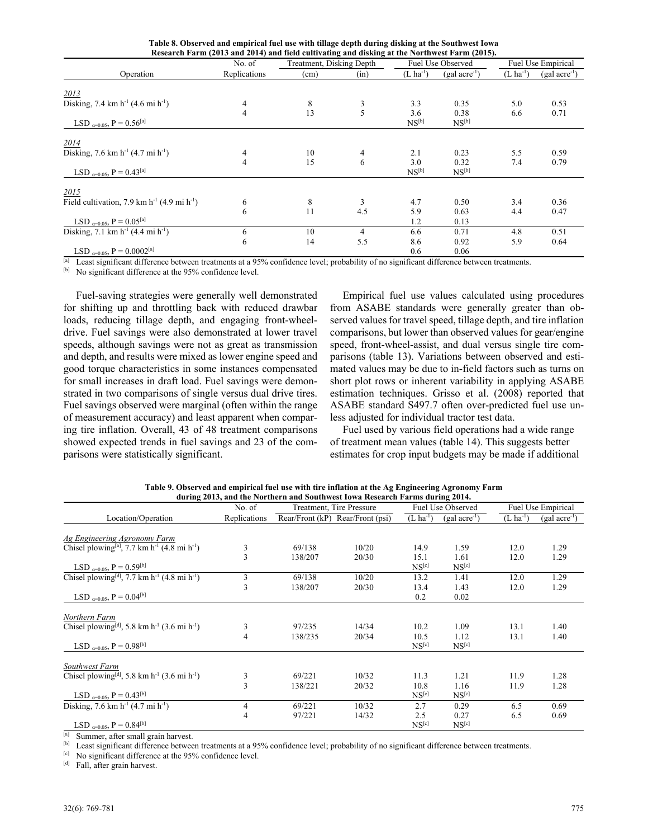|  |  | Table 8. Observed and empirical fuel use with tillage depth during disking at the Southwest Iowa |
|--|--|--------------------------------------------------------------------------------------------------|
|  |  | Research Farm (2013 and 2014) and field cultivating and disking at the Northwest Farm (2015).    |

|                                                       | No. of         | Treatment, Disking Depth |                |                       | Fuel Use Observed | Fuel Use Empirical    |                   |
|-------------------------------------------------------|----------------|--------------------------|----------------|-----------------------|-------------------|-----------------------|-------------------|
| Operation                                             | Replications   | (cm)                     | (in)           | $(L \text{ ha}^{-1})$ | $(gal acre^{-1})$ | $(L \text{ ha}^{-1})$ | $(gal acre^{-1})$ |
| 2013                                                  |                |                          |                |                       |                   |                       |                   |
| Disking, 7.4 km $h^{-1}$ (4.6 mi $h^{-1}$ )           | 4              | 8                        |                | 3.3                   | 0.35              | 5.0                   | 0.53              |
|                                                       | $\overline{4}$ | 13                       | 5              | 3.6                   | 0.38              | 6.6                   | 0.71              |
| LSD $_{\alpha=0.05}$ , P = 0.56 <sup>[a]</sup>        |                |                          |                | $NS^{[b]}$            | $NS^{[b]}$        |                       |                   |
| 2014                                                  |                |                          |                |                       |                   |                       |                   |
| Disking, 7.6 km $h^{-1}$ (4.7 mi $h^{-1}$ )           | 4              | 10                       | 4              | 2.1                   | 0.23              | 5.5                   | 0.59              |
|                                                       | 4              | 15                       | 6              | 3.0                   | 0.32              | 7.4                   | 0.79              |
| LSD $_{\alpha=0.05}$ , P = 0.43 <sup>[a]</sup>        |                |                          |                | $NS^{[b]}$            | $NS^{[b]}$        |                       |                   |
| 2015                                                  |                |                          |                |                       |                   |                       |                   |
| Field cultivation, 7.9 km $h^{-1}$ (4.9 mi $h^{-1}$ ) | 6              | 8                        | 3              | 4.7                   | 0.50              | 3.4                   | 0.36              |
|                                                       | 6              | 11                       | 4.5            | 5.9                   | 0.63              | 4.4                   | 0.47              |
| LSD $_{\alpha=0.05}$ , P = 0.05 <sup>[a]</sup>        |                |                          |                | 1.2                   | 0.13              |                       |                   |
| Disking, 7.1 km $h^{-1}$ (4.4 mi $h^{-1}$ )           | 6              | 10                       | $\overline{4}$ | 6.6                   | 0.71              | 4.8                   | 0.51              |
|                                                       | 6              | 14                       | 5.5            | 8.6                   | 0.92              | 5.9                   | 0.64              |
| LSD $_{\alpha=0.05}$ , P = 0.0002 <sup>[a]</sup>      |                |                          |                | 0.6                   | 0.06              |                       |                   |

<sup>[a]</sup> Least significant difference between treatments at a 95% confidence level; probability of no significant difference between treatments.

[b] No significant difference at the 95% confidence level.

Fuel-saving strategies were generally well demonstrated for shifting up and throttling back with reduced drawbar loads, reducing tillage depth, and engaging front-wheeldrive. Fuel savings were also demonstrated at lower travel speeds, although savings were not as great as transmission and depth, and results were mixed as lower engine speed and good torque characteristics in some instances compensated for small increases in draft load. Fuel savings were demonstrated in two comparisons of single versus dual drive tires. Fuel savings observed were marginal (often within the range of measurement accuracy) and least apparent when comparing tire inflation. Overall, 43 of 48 treatment comparisons showed expected trends in fuel savings and 23 of the comparisons were statistically significant.

Empirical fuel use values calculated using procedures from ASABE standards were generally greater than observed values for travel speed, tillage depth, and tire inflation comparisons, but lower than observed values for gear/engine speed, front-wheel-assist, and dual versus single tire comparisons (table 13). Variations between observed and estimated values may be due to in-field factors such as turns on short plot rows or inherent variability in applying ASABE estimation techniques. Grisso et al. (2008) reported that ASABE standard S497.7 often over-predicted fuel use unless adjusted for individual tractor test data.

Fuel used by various field operations had a wide range of treatment mean values (table 14). This suggests better estimates for crop input budgets may be made if additional

|                                                                                  |                |         | during 2013, and the Northern and Southwest Iowa Research Farms during 2014. |                           |                           |                       |                    |
|----------------------------------------------------------------------------------|----------------|---------|------------------------------------------------------------------------------|---------------------------|---------------------------|-----------------------|--------------------|
|                                                                                  | No. of         |         | Treatment, Tire Pressure                                                     |                           | <b>Fuel Use Observed</b>  |                       | Fuel Use Empirical |
| Location/Operation                                                               | Replications   |         | Rear/Front (kP) Rear/Front (psi)                                             | $(L ha^{-1})$             | $(gal \, acre^{-1})$      | $(L \text{ ha}^{-1})$ | $(gal acre^{-1})$  |
| <b>Ag Engineering Agronomy Farm</b>                                              |                |         |                                                                              |                           |                           |                       |                    |
| Chisel plowing <sup>[a]</sup> , 7.7 km h <sup>-1</sup> (4.8 mi h <sup>-1</sup> ) | 3              | 69/138  | 10/20                                                                        | 14.9                      | 1.59                      | 12.0                  | 1.29               |
| LSD $_{\alpha=0.05}$ , P = 0.59 <sup>[b]</sup>                                   | 3              | 138/207 | 20/30                                                                        | 15.1<br>NS <sup>[c]</sup> | 1.61<br>NS <sup>[c]</sup> | 12.0                  | 1.29               |
| Chisel plowing <sup>[d]</sup> , 7.7 km h <sup>-1</sup> (4.8 mi h <sup>-1</sup> ) | 3              | 69/138  | 10/20                                                                        | 13.2                      | 1.41                      | 12.0                  | 1.29               |
|                                                                                  | 3              | 138/207 | 20/30                                                                        | 13.4                      | 1.43                      | 12.0                  | 1.29               |
| $LSD_{\alpha=0.05}$ , P = 0.04 <sup>[b]</sup>                                    |                |         |                                                                              | 0.2                       | 0.02                      |                       |                    |
| Northern Farm                                                                    |                |         |                                                                              |                           |                           |                       |                    |
| Chisel plowing <sup>[d]</sup> , 5.8 km h <sup>-1</sup> (3.6 mi h <sup>-1</sup> ) | 3              | 97/235  | 14/34                                                                        | 10.2                      | 1.09                      | 13.1                  | 1.40               |
| LSD $_{\alpha=0.05}$ , P = 0.98 <sup>[b]</sup>                                   | $\overline{4}$ | 138/235 | 20/34                                                                        | 10.5<br>NS <sup>[c]</sup> | 1.12<br>NS <sup>[c]</sup> | 13.1                  | 1.40               |
| Southwest Farm                                                                   |                |         |                                                                              |                           |                           |                       |                    |
| Chisel plowing <sup>[d]</sup> , 5.8 km h <sup>-1</sup> (3.6 mi h <sup>-1</sup> ) | 3              | 69/221  | 10/32                                                                        | 11.3                      | 1.21                      | 11.9                  | 1.28               |
|                                                                                  | $\overline{3}$ | 138/221 | 20/32                                                                        | 10.8                      | 1.16                      | 11.9                  | 1.28               |
| LSD $_{\alpha=0.05}$ , P = 0.43 <sup>[b]</sup>                                   |                |         |                                                                              | NS <sup>[c]</sup>         | NS <sup>[c]</sup>         |                       |                    |
| Disking, 7.6 km $h^{-1}$ (4.7 mi $h^{-1}$ )                                      | 4              | 69/221  | 10/32                                                                        | 2.7                       | 0.29                      | 6.5                   | 0.69               |
|                                                                                  | 4              | 97/221  | 14/32                                                                        | 2.5                       | 0.27                      | 6.5                   | 0.69               |
| LSD $_{\alpha=0.05}$ , P = 0.84 <sup>[b]</sup>                                   |                |         |                                                                              | NS <sup>[c]</sup>         | NS <sup>[c]</sup>         |                       |                    |

**Table 9. Observed and empirical fuel use with tire inflation at the Ag Engineering Agronomy Farm during 2013, and the Northern and Southwest Iowa Research Farms during 2014.** 

<sup>[a]</sup> Summer, after small grain harvest.<br><sup>[b]</sup> Least significant difference between treatments at a 95% confidence level; probability of no significant difference between treatments.

 $\begin{bmatrix} \text{c} \\ \text{d} \end{bmatrix}$  No significant difference at the 95% confidence level.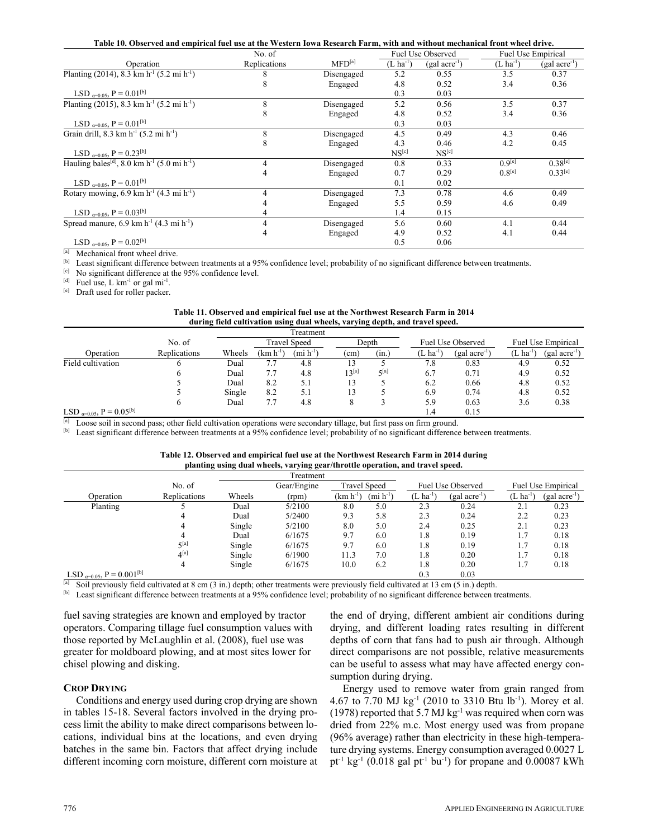|  |  |  | Table 10. Observed and empirical fuel use at the Western Iowa Research Farm, with and without mechanical front wheel drive. |
|--|--|--|-----------------------------------------------------------------------------------------------------------------------------|
|--|--|--|-----------------------------------------------------------------------------------------------------------------------------|

|                                                                                 | No. of       |                    |                       | Fuel Use Observed |                       | <b>Fuel Use Empirical</b> |
|---------------------------------------------------------------------------------|--------------|--------------------|-----------------------|-------------------|-----------------------|---------------------------|
| Operation                                                                       | Replications | $\text{MFD}^{[a]}$ | $(L \text{ ha}^{-1})$ | $(gal acre^{-1})$ | $(L \text{ ha}^{-1})$ | $(gal acre^{-1})$         |
| Planting (2014), 8.3 km h <sup>-1</sup> (5.2 mi h <sup>-1</sup> )               |              | Disengaged         | 5.2                   | 0.55              | 3.5                   | 0.37                      |
|                                                                                 | 8            | Engaged            | 4.8                   | 0.52              | 3.4                   | 0.36                      |
| LSD $_{\alpha=0.05}$ , P = 0.01 <sup>[b]</sup>                                  |              |                    | 0.3                   | 0.03              |                       |                           |
| Planting (2015), 8.3 km h <sup>-1</sup> (5.2 mi h <sup>-1</sup> )               | 8            | Disengaged         | 5.2                   | 0.56              | 3.5                   | 0.37                      |
|                                                                                 | 8            | Engaged            | 4.8                   | 0.52              | 3.4                   | 0.36                      |
| LSD $_{\alpha=0.05}$ , P = 0.01 <sup>[b]</sup>                                  |              |                    | 0.3                   | 0.03              |                       |                           |
| Grain drill, 8.3 km $h^{-1}$ (5.2 mi $h^{-1}$ )                                 | 8            | Disengaged         | 4.5                   | 0.49              | 4.3                   | 0.46                      |
|                                                                                 |              | Engaged            | 4.3                   | 0.46              | 4.2                   | 0.45                      |
| LSD $_{\alpha=0.05}$ , P = 0.23 <sup>[b]</sup>                                  |              |                    | NS <sup>[c]</sup>     | NS <sup>[c]</sup> |                       |                           |
| Hauling bales <sup>[d]</sup> , 8.0 km h <sup>-1</sup> (5.0 mi h <sup>-1</sup> ) | 4            | Disengaged         | 0.8                   | 0.33              | $0.9^{[e]}$           | $0.38^{[e]}$              |
|                                                                                 | 4            | Engaged            | 0.7                   | 0.29              | $0.8^{[e]}$           | $0.33^{[e]}$              |
| LSD $_{\alpha=0.05}$ , P = 0.01 <sup>[b]</sup>                                  |              |                    | 0.1                   | 0.02              |                       |                           |
| Rotary mowing, $6.9 \text{ km h}^{-1} (4.3 \text{ mi h}^{-1})$                  | 4            | Disengaged         | 7.3                   | 0.78              | 4.6                   | 0.49                      |
|                                                                                 |              | Engaged            | 5.5                   | 0.59              | 4.6                   | 0.49                      |
| LSD $_{\alpha=0.05}$ , P = 0.03 <sup>[b]</sup>                                  | 4            |                    | 1.4                   | 0.15              |                       |                           |
| Spread manure, $6.9 \text{ km h}^{-1}$ (4.3 mi h <sup>-1</sup> )                | 4            | Disengaged         | 5.6                   | 0.60              | 4.1                   | 0.44                      |
|                                                                                 | 4            | Engaged            | 4.9                   | 0.52              | 4.1                   | 0.44                      |
| LSD $_{\alpha=0.05}$ , P = 0.02 <sup>[b]</sup>                                  |              |                    | 0.5                   | 0.06              |                       |                           |

 $\frac{[a]}{b}$  Mechanical front wheel drive.<br><sup>[b]</sup> Least significant difference between treatments at a 95% confidence level; probability of no significant difference between treatments.

<sup>[c]</sup> No significant difference at the 95% confidence level.<br><sup>[d]</sup> Fuel use, L km<sup>-1</sup> or gal mi<sup>-1</sup>.<br><sup>[e]</sup> Draft used for roller packer.

| Table 11. Observed and empirical fuel use at the Northwest Research Farm in 2014 |  |
|----------------------------------------------------------------------------------|--|
| during field cultivation using dual wheels, varying depth, and travel speed.     |  |

|                                                |              |        |               | Treatment                    |            |             |                 |                      |                       |                           |
|------------------------------------------------|--------------|--------|---------------|------------------------------|------------|-------------|-----------------|----------------------|-----------------------|---------------------------|
|                                                | No. of       |        |               | <b>Travel Speed</b>          | Depth      |             |                 | Fuel Use Observed    |                       | <b>Fuel Use Empirical</b> |
| Operation                                      | Replications | Wheels | $(km h^{-1})$ | $(\text{mi } \text{h}^{-1})$ | (cm)       | (in, )      | $(L \ ha^{-1})$ | $(gal \, acre^{-1})$ | $(L \text{ ha}^{-1})$ | $(gal acre^{-1})$         |
| Field cultivation                              | n            | Dual   | 7.7           | 4.8                          |            |             | 7.8             | 0.83                 | 4.9                   | 0.52                      |
|                                                | O            | Dual   | 7.7           | 4.8                          | $13^{[a]}$ | $\zeta$ [a] | 6.7             | 0.71                 | 4.9                   | 0.52                      |
|                                                |              | Dual   | 8.2           | 5.1                          | 13         |             | 6.2             | 0.66                 | 4.8                   | 0.52                      |
|                                                |              | Single | 8.2           | 5.1                          | 13         |             | 6.9             | 0.74                 | 4.8                   | 0.52                      |
|                                                | $\sigma$     | Dual   | 7.7           | 4.8                          |            |             | 5.9             | 0.63                 | 3.6                   | 0.38                      |
| LSD $_{\alpha=0.05}$ , P = 0.05 <sup>[b]</sup> |              |        |               |                              |            |             | 1.4             | 0.15                 |                       |                           |

<sup>[a]</sup> Loose soil in second pass; other field cultivation operations were secondary tillage, but first pass on firm ground.<br><sup>[b]</sup> Least significant difference between treatments at a 95% confidence level; probability of no

| Table 12. Observed and empirical fuel use at the Northwest Research Farm in 2014 during |  |  |
|-----------------------------------------------------------------------------------------|--|--|
| planting using dual wheels, varying gear/throttle operation, and travel speed.          |  |  |

|                                                 |                    |        | Treatment   |                       |                       |               |                      |                     |                           |
|-------------------------------------------------|--------------------|--------|-------------|-----------------------|-----------------------|---------------|----------------------|---------------------|---------------------------|
|                                                 | No. of             |        | Gear/Engine |                       | <b>Travel Speed</b>   |               | Fuel Use Observed    |                     | <b>Fuel Use Empirical</b> |
| Operation                                       | Replications       | Wheels | (rpm)       | (km h <sup>-1</sup> ) | $(\text{mi } h^{-1})$ | $(L ha^{-1})$ | $(gal \, acre^{-1})$ | 'L ha <sup>-1</sup> | $(gal acre^{-1})$         |
| Planting                                        |                    | Dual   | 5/2100      | 8.0                   | 5.0                   | 2.3           | 0.24                 | 2.1                 | 0.23                      |
|                                                 | 4                  | Dual   | 5/2400      | 9.3                   | 5.8                   | 2.3           | 0.24                 | 2.2                 | 0.23                      |
|                                                 | 4                  | Single | 5/2100      | 8.0                   | 5.0                   | 2.4           | 0.25                 | 2.1                 | 0.23                      |
|                                                 | 4                  | Dual   | 6/1675      | 9.7                   | 6.0                   | 1.8           | 0.19                 | 1.7                 | 0.18                      |
|                                                 | $5^{[a]}$          | Single | 6/1675      | 9.7                   | 6.0                   | 1.8           | 0.19                 | 1.7                 | 0.18                      |
|                                                 | $\mathbf{A}^{[a]}$ | Single | 6/1900      | 11.3                  | 7.0                   | 1.8           | 0.20                 | 1.7                 | 0.18                      |
|                                                 | 4                  | Single | 6/1675      | 10.0                  | 6.2                   | 1.8           | 0.20                 | 1.7                 | 0.18                      |
| LSD $_{\alpha=0.05}$ , P = 0.001 <sup>[b]</sup> |                    |        |             |                       |                       | 0.3           | 0.03                 |                     |                           |

<sup>[a]</sup> Soil previously field cultivated at 8 cm (3 in.) depth; other treatments were previously field cultivated at 13 cm (5 in.) depth.<br><sup>[b]</sup> Least significant difference between treatments at a 95% confidence level; prob

fuel saving strategies are known and employed by tractor operators. Comparing tillage fuel consumption values with those reported by McLaughlin et al. (2008), fuel use was greater for moldboard plowing, and at most sites lower for chisel plowing and disking.

#### **CROP DRYING**

Conditions and energy used during crop drying are shown in tables 15-18. Several factors involved in the drying process limit the ability to make direct comparisons between locations, individual bins at the locations, and even drying batches in the same bin. Factors that affect drying include different incoming corn moisture, different corn moisture at the end of drying, different ambient air conditions during drying, and different loading rates resulting in different depths of corn that fans had to push air through. Although direct comparisons are not possible, relative measurements can be useful to assess what may have affected energy consumption during drying.

Energy used to remove water from grain ranged from 4.67 to 7.70 MJ kg-1 (2010 to 3310 Btu lb-1). Morey et al. (1978) reported that 5.7 MJ kg<sup>-1</sup> was required when corn was dried from 22% m.c. Most energy used was from propane (96% average) rather than electricity in these high-temperature drying systems. Energy consumption averaged 0.0027 L pt<sup>-1</sup> kg<sup>-1</sup> (0.018 gal pt<sup>-1</sup> bu<sup>-1</sup>) for propane and 0.00087 kWh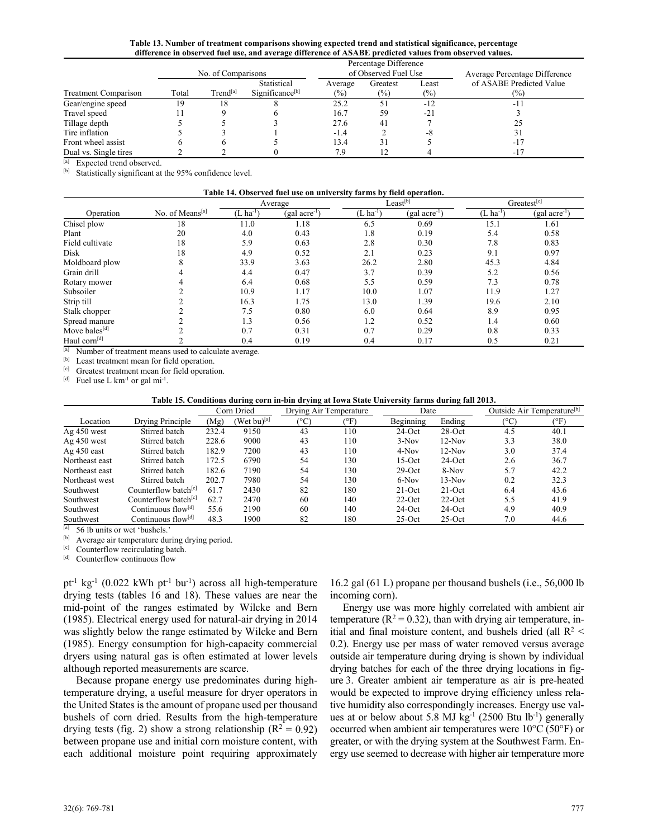**Table 13. Number of treatment comparisons showing expected trend and statistical significance, percentage difference in observed fuel use, and average difference of ASABE predicted values from observed values.** 

|                             |       | Percentage Difference |                                            |                |                      |                 |                                            |  |  |  |  |  |  |
|-----------------------------|-------|-----------------------|--------------------------------------------|----------------|----------------------|-----------------|--------------------------------------------|--|--|--|--|--|--|
|                             |       | No. of Comparisons    |                                            |                | of Observed Fuel Use |                 | Average Percentage Difference              |  |  |  |  |  |  |
| <b>Treatment Comparison</b> | Total | Trend <sup>[a]</sup>  | Statistical<br>Significance <sup>[b]</sup> | Average<br>(%) | Greatest<br>$(\%)$   | Least<br>$(\%)$ | of ASABE Predicted Value<br>$\frac{10}{6}$ |  |  |  |  |  |  |
| Gear/engine speed           | 19    | $\mathbf{8}$          |                                            | 25.2           | 51                   | $-12$           | $-1$                                       |  |  |  |  |  |  |
| Travel speed                |       |                       |                                            | 16.7           | 59                   | $-21$           |                                            |  |  |  |  |  |  |
| Tillage depth               |       |                       |                                            | 27.6           | 41                   |                 | 25                                         |  |  |  |  |  |  |
| Tire inflation              |       |                       |                                            | $-1.4$         |                      | -8              |                                            |  |  |  |  |  |  |
| Front wheel assist          | h     |                       |                                            | 13.4           | 31                   |                 | $-17$                                      |  |  |  |  |  |  |
| Dual vs. Single tires       |       |                       |                                            | 7.9            |                      |                 | $-17$                                      |  |  |  |  |  |  |

 $\begin{bmatrix} \text{a} \\ \text{b} \end{bmatrix}$  Expected trend observed.<br>  $\begin{bmatrix} \text{b} \\ \text{b} \end{bmatrix}$  Statistically significant at the 95% confidence level.

#### **Table 14. Observed fuel use on university farms by field operation.**

|                                                                                                                                                                                                                                                                                                                                                                                                                                                                                                                                                                                                                                                                         |                                                          |                 | Average           |                  | Least <sup>[b]</sup> | Greatest <sup>[c]</sup> |                   |  |
|-------------------------------------------------------------------------------------------------------------------------------------------------------------------------------------------------------------------------------------------------------------------------------------------------------------------------------------------------------------------------------------------------------------------------------------------------------------------------------------------------------------------------------------------------------------------------------------------------------------------------------------------------------------------------|----------------------------------------------------------|-----------------|-------------------|------------------|----------------------|-------------------------|-------------------|--|
| Operation                                                                                                                                                                                                                                                                                                                                                                                                                                                                                                                                                                                                                                                               | No. of Means <sup>[a]</sup>                              | $(L \ ha^{-1})$ | $(gal acre^{-1})$ | $(L \, ha^{-1})$ | $(gal \, acre^{-1})$ | $(L \text{ ha}^{-1})$   | $(gal acre^{-1})$ |  |
| Chisel plow                                                                                                                                                                                                                                                                                                                                                                                                                                                                                                                                                                                                                                                             | 18                                                       | 11.0            | 1.18              | 6.5              | 0.69                 | 15.1                    | 1.61              |  |
| Plant                                                                                                                                                                                                                                                                                                                                                                                                                                                                                                                                                                                                                                                                   | 20                                                       | 4.0             | 0.43              | 1.8              | 0.19                 | 5.4                     | 0.58              |  |
| Field cultivate                                                                                                                                                                                                                                                                                                                                                                                                                                                                                                                                                                                                                                                         | 18                                                       | 5.9             | 0.63              | 2.8              | 0.30                 | 7.8                     | 0.83              |  |
| Disk                                                                                                                                                                                                                                                                                                                                                                                                                                                                                                                                                                                                                                                                    | 18                                                       | 4.9             | 0.52              | 2.1              | 0.23                 | 9.1                     | 0.97              |  |
| Moldboard plow                                                                                                                                                                                                                                                                                                                                                                                                                                                                                                                                                                                                                                                          | 8                                                        | 33.9            | 3.63              | 26.2             | 2.80                 | 45.3                    | 4.84              |  |
| Grain drill                                                                                                                                                                                                                                                                                                                                                                                                                                                                                                                                                                                                                                                             |                                                          | 4.4             | 0.47              | 3.7              | 0.39                 | 5.2                     | 0.56              |  |
| Rotary mower                                                                                                                                                                                                                                                                                                                                                                                                                                                                                                                                                                                                                                                            |                                                          | 6.4             | 0.68              | 5.5              | 0.59                 | 7.3                     | 0.78              |  |
| Subsoiler                                                                                                                                                                                                                                                                                                                                                                                                                                                                                                                                                                                                                                                               |                                                          | 10.9            | 1.17              | 10.0             | 1.07                 | 11.9                    | 1.27              |  |
| Strip till                                                                                                                                                                                                                                                                                                                                                                                                                                                                                                                                                                                                                                                              |                                                          | 16.3            | 1.75              | 13.0             | 1.39                 | 19.6                    | 2.10              |  |
| Stalk chopper                                                                                                                                                                                                                                                                                                                                                                                                                                                                                                                                                                                                                                                           |                                                          | 7.5             | 0.80              | 6.0              | 0.64                 | 8.9                     | 0.95              |  |
| Spread manure                                                                                                                                                                                                                                                                                                                                                                                                                                                                                                                                                                                                                                                           |                                                          | 1.3             | 0.56              | 1.2              | 0.52                 | 1.4                     | 0.60              |  |
| Move bales <sup>[d]</sup>                                                                                                                                                                                                                                                                                                                                                                                                                                                                                                                                                                                                                                               |                                                          | 0.7             | 0.31              | 0.7              | 0.29                 | 0.8                     | 0.33              |  |
| Haul corn <sup>[d]</sup>                                                                                                                                                                                                                                                                                                                                                                                                                                                                                                                                                                                                                                                |                                                          | 0.4             | 0.19              | 0.4              | 0.17                 | 0.5                     | 0.21              |  |
|                                                                                                                                                                                                                                                                                                                                                                                                                                                                                                                                                                                                                                                                         | [a] Number of treatment means used to calculate average. |                 |                   |                  |                      |                         |                   |  |
| $[b] \centering% \includegraphics[width=1.0\textwidth]{Figures/PD1.png} \caption{The 3D (top) and the 4D (bottom) of the 3D (bottom) and the 4D (bottom) of the 3D (bottom) and the 4D (bottom) of the 3D (bottom). The 3D (bottom) is the 3D (bottom).} \label{fig:1}$                                                                                                                                                                                                                                                                                                                                                                                                 | Least treatment mean for field operation.                |                 |                   |                  |                      |                         |                   |  |
| [c]                                                                                                                                                                                                                                                                                                                                                                                                                                                                                                                                                                                                                                                                     | Greatest treatment mean for field operation.             |                 |                   |                  |                      |                         |                   |  |
| $[d] % \begin{center} % \includegraphics[width=\linewidth]{imagesSupplemental_3.png} % \end{center} % \caption { % \textit{DefNet} of \textit{DefNet} and \textit{DefNet} and \textit{DefNet} and \textit{DefNet} and \textit{DefNet} are used to be used. % \textit{DefNet} and \textit{DefNet} are used to be used. % \textit{DefNet} and \textit{DefNet} are used to be used. % \textit{DefNet} and \textit{DefNet} are used to be used. % \textit{DefNet} and \textit{DefNet} are used to be used. % \textit{DefNet} and \textit{DefNet} are used to be used. % \textit{DefNet} and \textit{DefNet} are used to be used$<br>Fuel use L $km^{-1}$ or gal $mi^{-1}$ . |                                                          |                 |                   |                  |                      |                         |                   |  |

#### **Table 15. Conditions during corn in-bin drying at Iowa State University farms during fall 2013.**

|                |                                  | Corn Dried |                   | Drying Air Temperature |      | Date      |           | Outside Air Temperature <sup>[b]</sup> |      |
|----------------|----------------------------------|------------|-------------------|------------------------|------|-----------|-----------|----------------------------------------|------|
| Location       | Drying Principle                 | (Mg)       | (Wet bu) $^{[a]}$ | (°C)                   | (°F) | Beginning | Ending    | (°C                                    | (°F) |
| $Ag$ 450 west  | Stirred batch                    | 232.4      | 9150              | 43                     | 110  | $24$ -Oct | $28-Oct$  | 4.5                                    | 40.1 |
| $Ag$ 450 west  | Stirred batch                    | 228.6      | 9000              | 43                     | 110  | $3-Nov$   | $12-Nov$  | 3.3                                    | 38.0 |
| $Ag$ 450 east  | Stirred batch                    | 182.9      | 7200              | 43                     | 110  | $4-Nov$   | $12-Nov$  | 3.0                                    | 37.4 |
| Northeast east | Stirred batch                    | 172.5      | 6790              | 54                     | 130  | $15-Oct$  | $24$ -Oct | 2.6                                    | 36.7 |
| Northeast east | Stirred batch                    | 182.6      | 7190              | 54                     | 130  | $29-Oct$  | $8-Nov$   | 5.7                                    | 42.2 |
| Northeast west | Stirred batch                    | 202.7      | 7980              | 54                     | 130  | 6-Nov     | $13-Nov$  | 0.2                                    | 32.3 |
| Southwest      | Counterflow batch <sup>[c]</sup> | 61.7       | 2430              | 82                     | 180  | $21$ -Oct | $21$ -Oct | 6.4                                    | 43.6 |
| Southwest      | Counterflow batch <sup>[c]</sup> | 62.7       | 2470              | 60                     | 140  | $22-Oct$  | $22-Oct$  | 5.5                                    | 41.9 |
| Southwest      | Continuous flow $\left[$ d]      | 55.6       | 2190              | 60                     | 140  | $24$ -Oct | $24$ -Oct | 4.9                                    | 40.9 |
| Southwest      | Continuous flow <sup>[d]</sup>   | 48.3       | 1900              | 82                     | 180  | $25-Oct$  | $25-Oct$  | 7.0                                    | 44.6 |

 $\begin{bmatrix} \text{a} \\ \text{b} \end{bmatrix}$  56 lb units or wet 'bushels.'

<sup>[b]</sup> Average air temperature during drying period.<br><sup>[c]</sup> Counterflow recirculating batch.<br><sup>[d]</sup> Counterflow continuous flow

 $pt^{-1}$  kg<sup>-1</sup> (0.022 kWh  $pt^{-1}$  bu<sup>-1</sup>) across all high-temperature drying tests (tables 16 and 18). These values are near the mid-point of the ranges estimated by Wilcke and Bern (1985). Electrical energy used for natural-air drying in 2014 was slightly below the range estimated by Wilcke and Bern (1985). Energy consumption for high-capacity commercial dryers using natural gas is often estimated at lower levels although reported measurements are scarce.

Because propane energy use predominates during hightemperature drying, a useful measure for dryer operators in the United States is the amount of propane used per thousand bushels of corn dried. Results from the high-temperature drying tests (fig. 2) show a strong relationship ( $R^2 = 0.92$ ) between propane use and initial corn moisture content, with each additional moisture point requiring approximately

16.2 gal (61 L) propane per thousand bushels (i.e., 56,000 lb incoming corn).

Energy use was more highly correlated with ambient air temperature ( $R^2 = 0.32$ ), than with drying air temperature, initial and final moisture content, and bushels dried (all  $R^2$  < 0.2). Energy use per mass of water removed versus average outside air temperature during drying is shown by individual drying batches for each of the three drying locations in figure 3. Greater ambient air temperature as air is pre-heated would be expected to improve drying efficiency unless relative humidity also correspondingly increases. Energy use values at or below about 5.8 MJ  $kg^{-1}$  (2500 Btu lb<sup>-1</sup>) generally occurred when ambient air temperatures were 10°C (50°F) or greater, or with the drying system at the Southwest Farm. Energy use seemed to decrease with higher air temperature more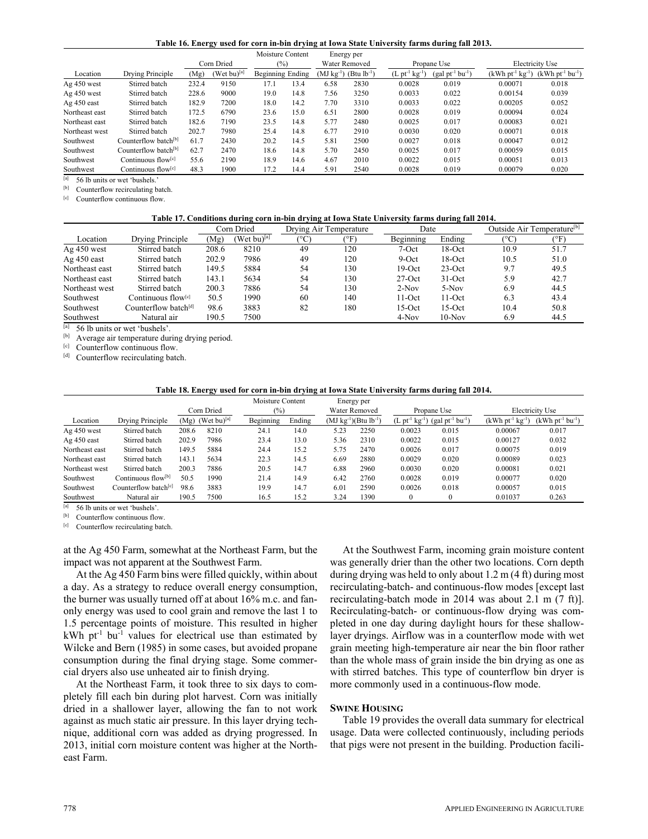|  |  |  | Table 16. Energy used for corn in-bin drying at Iowa State University farms during fall 2013. |
|--|--|--|-----------------------------------------------------------------------------------------------|
|  |  |  |                                                                                               |

|                |                                  |       |                         | Moisture Content |      |               | Energy per                             |                                       |                   |                   |                   |
|----------------|----------------------------------|-------|-------------------------|------------------|------|---------------|----------------------------------------|---------------------------------------|-------------------|-------------------|-------------------|
|                |                                  |       | Corn Dried              | (%)              |      | Water Removed |                                        | Propane Use                           |                   | Electricity Use   |                   |
| Location       | Drying Principle                 | (Mg)  | (Wet bu) <sup>[a]</sup> | Beginning Ending |      |               | $(MJ kg^{-1})$ (Btu lb <sup>-1</sup> ) | $(L \text{ pt}^{-1} \text{ kg}^{-1})$ | $(gal pt-1 bu-1)$ | $(kWh pt-1 kg-1)$ | $(kWh pt-1 bu-1)$ |
| Ag 450 west    | Stirred batch                    | 232.4 | 9150                    | 17.1             | 13.4 | 6.58          | 2830                                   | 0.0028                                | 0.019             | 0.00071           | 0.018             |
| Ag 450 west    | Stirred batch                    | 228.6 | 9000                    | 19.0             | 14.8 | 7.56          | 3250                                   | 0.0033                                | 0.022             | 0.00154           | 0.039             |
| Ag 450 east    | Stirred batch                    | 182.9 | 7200                    | 18.0             | 14.2 | 7.70          | 3310                                   | 0.0033                                | 0.022             | 0.00205           | 0.052             |
| Northeast east | Stirred batch                    | 172.5 | 6790                    | 23.6             | 15.0 | 6.51          | 2800                                   | 0.0028                                | 0.019             | 0.00094           | 0.024             |
| Northeast east | Stirred batch                    | 182.6 | 7190                    | 23.5             | 14.8 | 5.77          | 2480                                   | 0.0025                                | 0.017             | 0.00083           | 0.021             |
| Northeast west | Stirred batch                    | 202.7 | 7980                    | 25.4             | 14.8 | 6.77          | 2910                                   | 0.0030                                | 0.020             | 0.00071           | 0.018             |
| Southwest      | Counterflow batch <sup>[b]</sup> | 61.7  | 2430                    | 20.2             | 14.5 | 5.81          | 2500                                   | 0.0027                                | 0.018             | 0.00047           | 0.012             |
| Southwest      | Counterflow batch <sup>[b]</sup> | 62.7  | 2470                    | 18.6             | 14.8 | 5.70          | 2450                                   | 0.0025                                | 0.017             | 0.00059           | 0.015             |
| Southwest      | Continuous flow <sup>[c]</sup>   | 55.6  | 2190                    | 18.9             | 14.6 | 4.67          | 2010                                   | 0.0022                                | 0.015             | 0.00051           | 0.013             |
| Southwest      | Continuous flow <sup>[c]</sup>   | 48.3  | 1900                    | 17.2             | 14.4 | 5.91          | 2540                                   | 0.0028                                | 0.019             | 0.00079           | 0.020             |

 $\frac{[a]}{[b]}$  56 lb units or wet 'bushels.' Counterflow recirculating batch.

[c] Counterflow continuous flow.

**Table 17. Conditions during corn in-bin drying at Iowa State University farms during fall 2014.** 

|                |                                  | Corn Dried |                   | Drying Air Temperature |             | Date      |           | Outside Air Temperature <sup>[b]</sup> |      |
|----------------|----------------------------------|------------|-------------------|------------------------|-------------|-----------|-----------|----------------------------------------|------|
| Location       | Drying Principle                 | (Mg)       | (Wet bu) $^{[a]}$ | ∣°C                    | $\rm ^{6}F$ | Beginning | Ending    | (°C)                                   | (°F) |
| $Ag$ 450 west  | Stirred batch                    | 208.6      | 8210              | 49                     | 120         | $7-Oct$   | 18-Oct    | 10.9                                   | 51.7 |
| $Ag$ 450 east  | Stirred batch                    | 202.9      | 7986              | 49                     | 120         | $9-Oct$   | $18$ -Oct | 10.5                                   | 51.0 |
| Northeast east | Stirred batch                    | 149.5      | 5884              | 54                     | 130         | $19-Oct$  | $23-Oct$  | 9.7                                    | 49.5 |
| Northeast east | Stirred batch                    | 143.1      | 5634              | 54                     | 130         | $27$ -Oct | $31-Oct$  | 5.9                                    | 42.7 |
| Northeast west | Stirred batch                    | 200.3      | 7886              | 54                     | 130         | $2-Nov$   | $5-Nov$   | 6.9                                    | 44.5 |
| Southwest      | Continuous flow <sup>[c]</sup>   | 50.5       | 1990              | 60                     | 140         | $11-Oct$  | $11-Oct$  | 6.3                                    | 43.4 |
| Southwest      | Counterflow batch <sup>[d]</sup> | 98.6       | 3883              | 82                     | 180         | $15-Oct$  | $15-Oct$  | 10.4                                   | 50.8 |
| Southwest      | Natural air                      | 190.5      | 7500              |                        |             | $4-Nov$   | $10-Nov$  | 6.9                                    | 44.5 |

[a] 56 lb units or wet 'bushels'.<br>
[b] Average air temperature during drying period.<br>
[c] Counterflow continuous flow. [d] Counterflow recirculating batch.

## **Table 18. Energy used for corn in-bin drying at Iowa State University farms during fall 2014.**

|                |                                  |       |                                | Moisture Content               |        | Energy per                     |      |                 |                   |                    |                   |
|----------------|----------------------------------|-------|--------------------------------|--------------------------------|--------|--------------------------------|------|-----------------|-------------------|--------------------|-------------------|
|                |                                  |       | Corn Dried                     | $\frac{1}{2}$<br>Water Removed |        | Propane Use                    |      | Electricity Use |                   |                    |                   |
| Location       | Drying Principle                 |       | $(Mg)$ (Wet bu) <sup>[a]</sup> | Beginning                      | Ending | $(MJ kg^{-1})$ $(Btu lb^{-1})$ |      | $(L pt-1 kg-1)$ | $(gal pt-1 bu-1)$ | $(kWh\ pt-1 kg-1)$ | $(kWh pt-1 bu-1)$ |
| Ag 450 west    | Stirred batch                    | 208.6 | 8210                           | 24.1                           | 14.0   | 5.23                           | 2250 | 0.0023          | 0.015             | 0.00067            | 0.017             |
| Ag 450 east    | Stirred batch                    | 202.9 | 7986                           | 23.4                           | 13.0   | 5.36                           | 2310 | 0.0022          | 0.015             | 0.00127            | 0.032             |
| Northeast east | Stirred batch                    | 149.5 | 5884                           | 24.4                           | 15.2   | 5.75                           | 2470 | 0.0026          | 0.017             | 0.00075            | 0.019             |
| Northeast east | Stirred batch                    | 143.1 | 5634                           | 22.3                           | 14.5   | 6.69                           | 2880 | 0.0029          | 0.020             | 0.00089            | 0.023             |
| Northeast west | Stirred batch                    | 200.3 | 7886                           | 20.5                           | 14.7   | 6.88                           | 2960 | 0.0030          | 0.020             | 0.00081            | 0.021             |
| Southwest      | Continuous flow <sup>[b]</sup>   | 50.5  | 1990                           | 21.4                           | 14.9   | 6.42                           | 2760 | 0.0028          | 0.019             | 0.00077            | 0.020             |
| Southwest      | Counterflow batch <sup>[c]</sup> | 98.6  | 3883                           | 19.9                           | 14.7   | 6.01                           | 2590 | 0.0026          | 0.018             | 0.00057            | 0.015             |
| Southwest      | Natural air                      | 190.5 | 7500                           | 16.5                           | 15.2   | 3.24                           | 1390 |                 | $\Omega$          | 0.01037            | 0.263             |

[a] 56 lb units or wet 'bushels'.<br>  $\begin{bmatrix} \text{b} \\ \text{c} \end{bmatrix}$  Counterflow continuous flow.<br>  $\begin{bmatrix} c \\ \text{c} \end{bmatrix}$  Counterflow recirculating batch.

at the Ag 450 Farm, somewhat at the Northeast Farm, but the impact was not apparent at the Southwest Farm.

At the Ag 450 Farm bins were filled quickly, within about a day. As a strategy to reduce overall energy consumption, the burner was usually turned off at about 16% m.c. and fanonly energy was used to cool grain and remove the last 1 to 1.5 percentage points of moisture. This resulted in higher  $kWh$  pt<sup>-1</sup> bu<sup>-1</sup> values for electrical use than estimated by Wilcke and Bern (1985) in some cases, but avoided propane consumption during the final drying stage. Some commercial dryers also use unheated air to finish drying.

At the Northeast Farm, it took three to six days to completely fill each bin during plot harvest. Corn was initially dried in a shallower layer, allowing the fan to not work against as much static air pressure. In this layer drying technique, additional corn was added as drying progressed. In 2013, initial corn moisture content was higher at the Northeast Farm.

At the Southwest Farm, incoming grain moisture content was generally drier than the other two locations. Corn depth during drying was held to only about 1.2 m (4 ft) during most recirculating-batch- and continuous-flow modes [except last recirculating-batch mode in 2014 was about 2.1 m (7 ft)]. Recirculating-batch- or continuous-flow drying was completed in one day during daylight hours for these shallowlayer dryings. Airflow was in a counterflow mode with wet grain meeting high-temperature air near the bin floor rather than the whole mass of grain inside the bin drying as one as with stirred batches. This type of counterflow bin dryer is more commonly used in a continuous-flow mode.

#### **SWINE HOUSING**

Table 19 provides the overall data summary for electrical usage. Data were collected continuously, including periods that pigs were not present in the building. Production facili-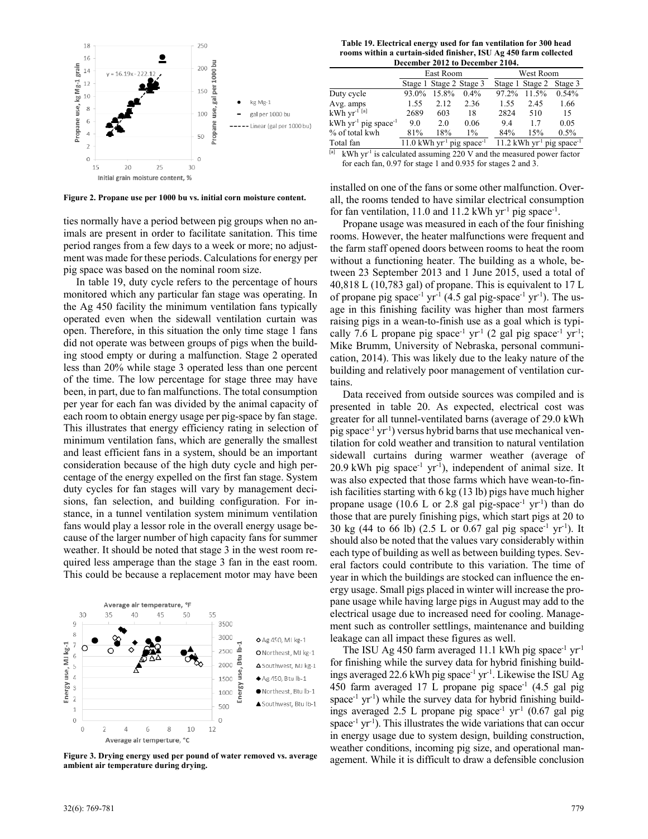

**Figure 2. Propane use per 1000 bu vs. initial corn moisture content.** 

ties normally have a period between pig groups when no animals are present in order to facilitate sanitation. This time period ranges from a few days to a week or more; no adjustment was made for these periods. Calculations for energy per pig space was based on the nominal room size.

In table 19, duty cycle refers to the percentage of hours monitored which any particular fan stage was operating. In the Ag 450 facility the minimum ventilation fans typically operated even when the sidewall ventilation curtain was open. Therefore, in this situation the only time stage 1 fans did not operate was between groups of pigs when the building stood empty or during a malfunction. Stage 2 operated less than 20% while stage 3 operated less than one percent of the time. The low percentage for stage three may have been, in part, due to fan malfunctions. The total consumption per year for each fan was divided by the animal capacity of each room to obtain energy usage per pig-space by fan stage. This illustrates that energy efficiency rating in selection of minimum ventilation fans, which are generally the smallest and least efficient fans in a system, should be an important consideration because of the high duty cycle and high percentage of the energy expelled on the first fan stage. System duty cycles for fan stages will vary by management decisions, fan selection, and building configuration. For instance, in a tunnel ventilation system minimum ventilation fans would play a lessor role in the overall energy usage because of the larger number of high capacity fans for summer weather. It should be noted that stage 3 in the west room required less amperage than the stage 3 fan in the east room. This could be because a replacement motor may have been



**Figure 3. Drying energy used per pound of water removed vs. average ambient air temperature during drying.** 

**Table 19. Electrical energy used for fan ventilation for 300 head rooms within a curtain-sided finisher, ISU Ag 450 farm collected December 2012 to December 2104.** 

| December 2012 to December 2104.                |       |                         |                                                     |                                                     |                 |         |  |  |  |  |
|------------------------------------------------|-------|-------------------------|-----------------------------------------------------|-----------------------------------------------------|-----------------|---------|--|--|--|--|
|                                                |       | East Room               |                                                     | West Room                                           |                 |         |  |  |  |  |
|                                                |       | Stage 1 Stage 2 Stage 3 |                                                     |                                                     | Stage 1 Stage 2 | Stage 3 |  |  |  |  |
| Duty cycle                                     | 93.0% | 15.8%                   | $0.4\%$                                             | 97.2%                                               | 11.5%           | 0.54%   |  |  |  |  |
| Avg. amps                                      | 1.55  | 2.12                    | 2.36                                                | 1.55                                                | 2.45            | 1.66    |  |  |  |  |
| $kWh$ yr <sup>-1 [a]</sup>                     | 2689  | 603                     | 18                                                  | 2824                                                | 510             | 15      |  |  |  |  |
| $kWh$ yr <sup>-1</sup> pig space <sup>-1</sup> | 9.0   | 2.0                     | 0.06                                                | 9.4                                                 | 17              | 0.05    |  |  |  |  |
| % of total kwh                                 | 81%   | 18%                     | $1\%$                                               | 84%                                                 | 15%             | 0.5%    |  |  |  |  |
| Total fan                                      |       |                         | $11.0$ kWh yr <sup>-1</sup> pig space <sup>-1</sup> | $11.2$ kWh yr <sup>-1</sup> pig space <sup>-1</sup> |                 |         |  |  |  |  |
|                                                |       |                         |                                                     |                                                     |                 |         |  |  |  |  |

kWh yr<sup>-1</sup> is calculated assuming 220 V and the measured power factor for each fan, 0.97 for stage 1 and 0.935 for stages 2 and 3.

installed on one of the fans or some other malfunction. Overall, the rooms tended to have similar electrical consumption for fan ventilation, 11.0 and 11.2 kWh yr<sup>-1</sup> pig space<sup>-1</sup>.

Propane usage was measured in each of the four finishing rooms. However, the heater malfunctions were frequent and the farm staff opened doors between rooms to heat the room without a functioning heater. The building as a whole, between 23 September 2013 and 1 June 2015, used a total of 40,818 L (10,783 gal) of propane. This is equivalent to 17 L of propane pig space<sup>-1</sup> yr<sup>-1</sup> (4.5 gal pig-space<sup>-1</sup> yr<sup>-1</sup>). The usage in this finishing facility was higher than most farmers raising pigs in a wean-to-finish use as a goal which is typically 7.6 L propane pig space<sup>-1</sup> yr<sup>-1</sup> (2 gal pig space<sup>-1</sup> yr<sup>-1</sup>; Mike Brumm, University of Nebraska, personal communication, 2014). This was likely due to the leaky nature of the building and relatively poor management of ventilation curtains.

Data received from outside sources was compiled and is presented in table 20. As expected, electrical cost was greater for all tunnel-ventilated barns (average of 29.0 kWh pig space<sup>-1</sup> yr<sup>-1</sup>) versus hybrid barns that use mechanical ventilation for cold weather and transition to natural ventilation sidewall curtains during warmer weather (average of  $20.9$  kWh pig space<sup>-1</sup> yr<sup>-1</sup>), independent of animal size. It was also expected that those farms which have wean-to-finish facilities starting with 6 kg (13 lb) pigs have much higher propane usage (10.6 L or 2.8 gal pig-space<sup>-1</sup> yr<sup>-1</sup>) than do those that are purely finishing pigs, which start pigs at 20 to 30 kg (44 to 66 lb) (2.5 L or 0.67 gal pig space<sup>-1</sup> yr<sup>-1</sup>). It should also be noted that the values vary considerably within each type of building as well as between building types. Several factors could contribute to this variation. The time of year in which the buildings are stocked can influence the energy usage. Small pigs placed in winter will increase the propane usage while having large pigs in August may add to the electrical usage due to increased need for cooling. Management such as controller settlings, maintenance and building leakage can all impact these figures as well.

The ISU Ag 450 farm averaged 11.1 kWh pig space<sup>-1</sup> yr<sup>-1</sup> for finishing while the survey data for hybrid finishing buildings averaged 22.6 kWh pig space<sup>-1</sup> yr<sup>-1</sup>. Likewise the ISU Ag 450 farm averaged 17 L propane pig space<sup>-1</sup>  $(4.5 \text{ gal} \text{ pig})$ space<sup>-1</sup> yr<sup>-1</sup>) while the survey data for hybrid finishing buildings averaged 2.5 L propane pig space<sup>-1</sup> yr<sup>-1</sup> (0.67 gal pig space<sup>-1</sup> yr<sup>-1</sup>). This illustrates the wide variations that can occur in energy usage due to system design, building construction, weather conditions, incoming pig size, and operational management. While it is difficult to draw a defensible conclusion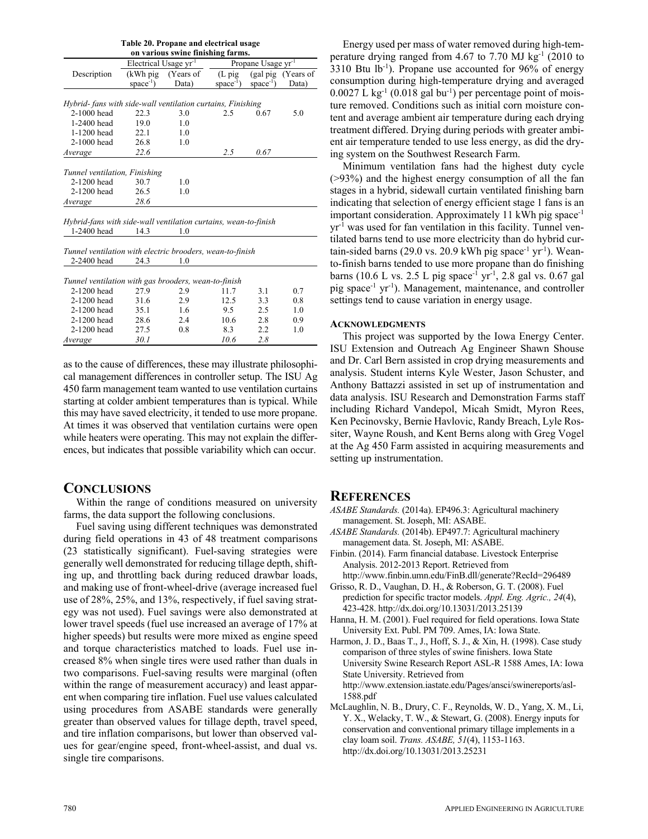| Table 20. Propane and electrical usage                          |                                   |           |                                |                 |                             |  |  |  |  |  |  |
|-----------------------------------------------------------------|-----------------------------------|-----------|--------------------------------|-----------------|-----------------------------|--|--|--|--|--|--|
| on various swine finishing farms.                               |                                   |           |                                |                 |                             |  |  |  |  |  |  |
|                                                                 | Electrical Usage yr <sup>-1</sup> |           | Propane Usage yr <sup>-1</sup> |                 |                             |  |  |  |  |  |  |
| Description                                                     | $(kWh$ pig                        | (Years of | $(L$ pig                       |                 | (gal pig (Years of<br>Data) |  |  |  |  |  |  |
|                                                                 | space $^{-1}$ )                   | Data)     | space <sup>-1</sup> )          | space $^{-1}$ ) |                             |  |  |  |  |  |  |
|                                                                 |                                   |           |                                |                 |                             |  |  |  |  |  |  |
| Hybrid-fans with side-wall ventilation curtains, Finishing      |                                   |           |                                |                 |                             |  |  |  |  |  |  |
| 2-1000 head                                                     | 22.3                              | 3.0       | 2.5                            | 0.67            | 5.0                         |  |  |  |  |  |  |
| 1-2400 head                                                     | 19.0                              | 1.0       |                                |                 |                             |  |  |  |  |  |  |
| 1-1200 head                                                     | 22.1                              | 1.0       |                                |                 |                             |  |  |  |  |  |  |
| 2-1000 head                                                     | 26.8                              | 1.0       |                                |                 |                             |  |  |  |  |  |  |
| Average                                                         | 22.6                              |           | 2.5                            | 0.67            |                             |  |  |  |  |  |  |
|                                                                 |                                   |           |                                |                 |                             |  |  |  |  |  |  |
| Tunnel ventilation, Finishing                                   |                                   |           |                                |                 |                             |  |  |  |  |  |  |
| 2-1200 head                                                     | 30.7                              | 1.0       |                                |                 |                             |  |  |  |  |  |  |
| 2-1200 head<br>26.5                                             |                                   | 1.0       |                                |                 |                             |  |  |  |  |  |  |
| Average                                                         | 28.6                              |           |                                |                 |                             |  |  |  |  |  |  |
|                                                                 |                                   |           |                                |                 |                             |  |  |  |  |  |  |
| Hybrid-fans with side-wall ventilation curtains, wean-to-finish |                                   |           |                                |                 |                             |  |  |  |  |  |  |
| 1-2400 head                                                     | 14.3                              | 1.0       |                                |                 |                             |  |  |  |  |  |  |
|                                                                 |                                   |           |                                |                 |                             |  |  |  |  |  |  |
| Tunnel ventilation with electric brooders, wean-to-finish       |                                   |           |                                |                 |                             |  |  |  |  |  |  |
| 2-2400 head                                                     | 24.3                              | 1.0       |                                |                 |                             |  |  |  |  |  |  |
|                                                                 |                                   |           |                                |                 |                             |  |  |  |  |  |  |
| Tunnel ventilation with gas brooders, wean-to-finish            |                                   |           |                                |                 |                             |  |  |  |  |  |  |
| 2-1200 head                                                     | 27.9                              | 2.9       | 11.7                           | 3.1             | 0.7                         |  |  |  |  |  |  |
| 2-1200 head                                                     | 31.6                              | 2.9       | 12.5                           | 3.3             | 0.8                         |  |  |  |  |  |  |
| 2-1200 head                                                     | 35.1                              | 1.6       | 9.5                            | 2.5             | 1.0                         |  |  |  |  |  |  |
| 2-1200 head                                                     | 28.6                              | 2.4       | 10.6                           | 2.8             | 0.9                         |  |  |  |  |  |  |
| 2-1200 head                                                     | 27.5                              | 0.8       | 8.3                            | 2.2             | 1.0                         |  |  |  |  |  |  |
| Average                                                         | 30.1                              |           | 10.6                           | 2.8             |                             |  |  |  |  |  |  |
|                                                                 |                                   |           |                                |                 |                             |  |  |  |  |  |  |

as to the cause of differences, these may illustrate philosophical management differences in controller setup. The ISU Ag 450 farm management team wanted to use ventilation curtains starting at colder ambient temperatures than is typical. While this may have saved electricity, it tended to use more propane. At times it was observed that ventilation curtains were open while heaters were operating. This may not explain the differences, but indicates that possible variability which can occur.

# **CONCLUSIONS**

Within the range of conditions measured on university farms, the data support the following conclusions.

Fuel saving using different techniques was demonstrated during field operations in 43 of 48 treatment comparisons (23 statistically significant). Fuel-saving strategies were generally well demonstrated for reducing tillage depth, shifting up, and throttling back during reduced drawbar loads, and making use of front-wheel-drive (average increased fuel use of 28%, 25%, and 13%, respectively, if fuel saving strategy was not used). Fuel savings were also demonstrated at lower travel speeds (fuel use increased an average of 17% at higher speeds) but results were more mixed as engine speed and torque characteristics matched to loads. Fuel use increased 8% when single tires were used rather than duals in two comparisons. Fuel-saving results were marginal (often within the range of measurement accuracy) and least apparent when comparing tire inflation. Fuel use values calculated using procedures from ASABE standards were generally greater than observed values for tillage depth, travel speed, and tire inflation comparisons, but lower than observed values for gear/engine speed, front-wheel-assist, and dual vs. single tire comparisons.

Energy used per mass of water removed during high-temperature drying ranged from 4.67 to 7.70 MJ  $kg<sup>-1</sup>$  (2010 to  $3310$  Btu lb<sup>-1</sup>). Propane use accounted for 96% of energy consumption during high-temperature drying and averaged  $0.0027$  L kg<sup>-1</sup> (0.018 gal bu<sup>-1</sup>) per percentage point of moisture removed. Conditions such as initial corn moisture content and average ambient air temperature during each drying treatment differed. Drying during periods with greater ambient air temperature tended to use less energy, as did the drying system on the Southwest Research Farm.

Minimum ventilation fans had the highest duty cycle  $(>93%)$  and the highest energy consumption of all the fan stages in a hybrid, sidewall curtain ventilated finishing barn indicating that selection of energy efficient stage 1 fans is an important consideration. Approximately 11 kWh pig space-1 yr-1 was used for fan ventilation in this facility. Tunnel ventilated barns tend to use more electricity than do hybrid curtain-sided barns (29.0 vs. 20.9 kWh pig space<sup>-1</sup> yr<sup>-1</sup>). Weanto-finish barns tended to use more propane than do finishing barns (10.6 L vs. 2.5 L pig space<sup>-1</sup> yr<sup>-1</sup>, 2.8 gal vs. 0.67 gal pig space-1 yr-1). Management, maintenance, and controller settings tend to cause variation in energy usage.

## **ACKNOWLEDGMENTS**

This project was supported by the Iowa Energy Center. ISU Extension and Outreach Ag Engineer Shawn Shouse and Dr. Carl Bern assisted in crop drying measurements and analysis. Student interns Kyle Wester, Jason Schuster, and Anthony Battazzi assisted in set up of instrumentation and data analysis. ISU Research and Demonstration Farms staff including Richard Vandepol, Micah Smidt, Myron Rees, Ken Pecinovsky, Bernie Havlovic, Randy Breach, Lyle Rossiter, Wayne Roush, and Kent Berns along with Greg Vogel at the Ag 450 Farm assisted in acquiring measurements and setting up instrumentation.

# **REFERENCES**

- *ASABE Standards.* (2014a). EP496.3: Agricultural machinery management. St. Joseph, MI: ASABE.
- *ASABE Standards.* (2014b). EP497.7: Agricultural machinery management data. St. Joseph, MI: ASABE.
- Finbin. (2014). Farm financial database. Livestock Enterprise Analysis. 2012-2013 Report. Retrieved from http://www.finbin.umn.edu/FinB.dll/generate?RecId=296489
- Grisso, R. D., Vaughan, D. H., & Roberson, G. T. (2008). Fuel prediction for specific tractor models. *Appl. Eng. Agric., 24*(4), 423-428. http://dx.doi.org/10.13031/2013.25139
- Hanna, H. M. (2001). Fuel required for field operations. Iowa State University Ext. Publ. PM 709. Ames, IA: Iowa State.
- Harmon, J. D., Baas T., J., Hoff, S. J., & Xin, H. (1998). Case study comparison of three styles of swine finishers. Iowa State University Swine Research Report ASL-R 1588 Ames, IA: Iowa State University. Retrieved from http://www.extension.iastate.edu/Pages/ansci/swinereports/asl-1588.pdf
- McLaughlin, N. B., Drury, C. F., Reynolds, W. D., Yang, X. M., Li, Y. X., Welacky, T. W., & Stewart, G. (2008). Energy inputs for conservation and conventional primary tillage implements in a clay loam soil. *Trans. ASABE, 51*(4), 1153-1163. http://dx.doi.org/10.13031/2013.25231